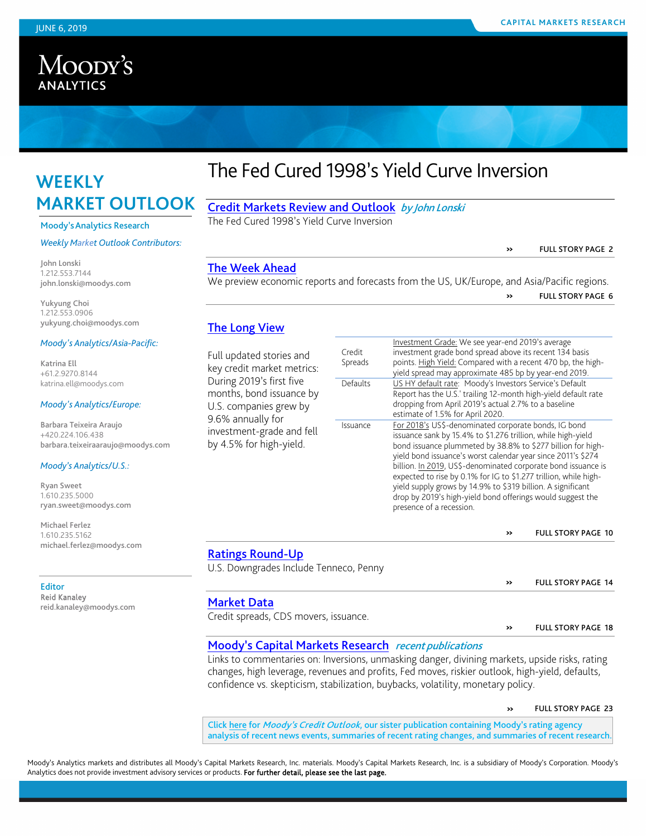# Moody's **ANALYTICS**

# **WEEKLY MARKET OUTLOOK**

#### Moody'sAnalytics Research

#### *Weekly Market Outlook Contributors:*

John Lonski 1.212.553.7144 john.lonski@moodys.com

Yukyung Choi 1.212.553.0906 yukyung.choi@moodys.com

#### *Moody's Analytics/Asia-Pacific:*

Katrina Ell +61.2.9270.8144 katrina.ell@moodys.com

#### *Moody's Analytics/Europe:*

Barbara Teixeira Araujo +420.224.106.438 barbara.teixeiraaraujo@moodys.com

#### *Moody's Analytics/U.S.:*

Ryan Sweet 1.610.235.5000 ryan.sweet@moodys.com

Michael Ferlez 1.610.235.5162 michael.ferlez@moodys.com

#### Editor Reid Kanaley reid.kanaley@moodys.com

# The Fed Cured 1998's Yield Curve Inversion

[Credit Markets Review and Outlook](#page-0-0) by John Lonski The Fed Cured 1998's Yield Curve Inversion

» FULL STORY PAGE 2

### [The Week Ahead](#page-5-0)

We preview economic reports and forecasts from the US, UK/Europe, and Asia/Pacific regions. » FULL STORY PAGE <sup>6</sup>

### [The Long View](#page-9-0)

Full updated stories and key credit market metrics: During 2019's first five months, bond issuance by U.S. companies grew by 9.6% annually for investment-grade and fell by 4.5% for high-yield.

|          | ilivestifient Grade. We see year-end ZOT9's average                                                                                                                                                                                                                                                                                                                                                                                                                                                                                               |
|----------|---------------------------------------------------------------------------------------------------------------------------------------------------------------------------------------------------------------------------------------------------------------------------------------------------------------------------------------------------------------------------------------------------------------------------------------------------------------------------------------------------------------------------------------------------|
| Credit   | investment grade bond spread above its recent 134 basis                                                                                                                                                                                                                                                                                                                                                                                                                                                                                           |
| Spreads  | points. High Yield: Compared with a recent 470 bp, the high-<br>yield spread may approximate 485 bp by year-end 2019.                                                                                                                                                                                                                                                                                                                                                                                                                             |
| Defaults | US HY default rate: Moody's Investors Service's Default<br>Report has the U.S.' trailing 12-month high-yield default rate<br>dropping from April 2019's actual 2.7% to a baseline                                                                                                                                                                                                                                                                                                                                                                 |
|          | estimate of 1.5% for April 2020.                                                                                                                                                                                                                                                                                                                                                                                                                                                                                                                  |
| Issuance | For 2018's US\$-denominated corporate bonds, IG bond<br>issuance sank by 15.4% to \$1.276 trillion, while high-yield<br>bond issuance plummeted by 38.8% to \$277 billion for high-<br>yield bond issuance's worst calendar year since 2011's \$274<br>billion. In 2019, US\$-denominated corporate bond issuance is<br>expected to rise by 0.1% for IG to \$1.277 trillion, while high-<br>yield supply grows by 14.9% to \$319 billion. A significant<br>drop by 2019's high-yield bond offerings would suggest the<br>presence of a recession. |

Investment Grade: We see year-end 2019's average

#### » FULL STORY PAGE <sup>10</sup>

» FULL STORY PAGE 14

### [Ratings Round-Up](#page-13-0)

U.S. Downgrades Include Tenneco, Penny

### [Market Data](#page-17-0)

Credit spreads, CDS movers, issuance. <br> **EXECUTE:** WE FULL STORY PAGE 18

# [Moody's Capital Markets Research](#page-22-0) recent publications

Links to commentaries on: Inversions, unmasking danger, divining markets, upside risks, rating changes, high leverage, revenues and profits, Fed moves, riskier outlook, high-yield, defaults, confidence vs. skepticism, stabilization, buybacks, volatility, monetary policy.

» FULL STORY PAGE <sup>23</sup>

<span id="page-0-0"></span>Click [here](http://www.moodys.com/wco) for Moody's Credit Outlook, our sister publication containing Moody's rating agency analysis of recent news events, summaries of recent rating changes, and summaries of recent research.

Moody's Analytics markets and distributes all Moody's Capital Markets Research, Inc. materials. Moody's Capital Markets Research, Inc. is a subsidiary of Moody's Corporation. Moody's Analytics does not provide investment advisory services or products. For further detail, please see the last page.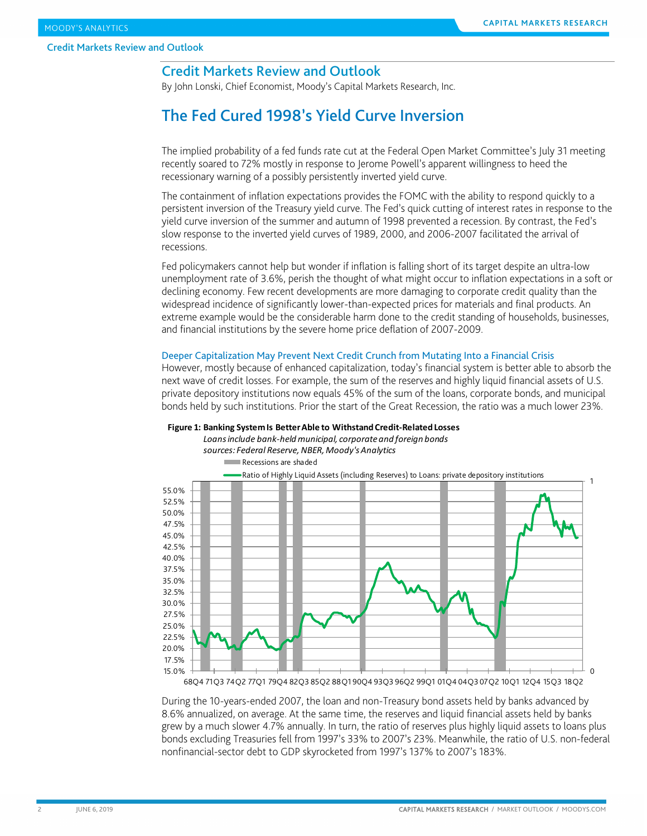# Credit Markets Review and Outlook

By John Lonski, Chief Economist, Moody's Capital Markets Research, Inc.

# The Fed Cured 1998's Yield Curve Inversion

The implied probability of a fed funds rate cut at the Federal Open Market Committee's July 31 meeting recently soared to 72% mostly in response to Jerome Powell's apparent willingness to heed the recessionary warning of a possibly persistently inverted yield curve.

The containment of inflation expectations provides the FOMC with the ability to respond quickly to a persistent inversion of the Treasury yield curve. The Fed's quick cutting of interest rates in response to the yield curve inversion of the summer and autumn of 1998 prevented a recession. By contrast, the Fed's slow response to the inverted yield curves of 1989, 2000, and 2006-2007 facilitated the arrival of recessions.

Fed policymakers cannot help but wonder if inflation is falling short of its target despite an ultra-low unemployment rate of 3.6%, perish the thought of what might occur to inflation expectations in a soft or declining economy. Few recent developments are more damaging to corporate credit quality than the widespread incidence of significantly lower-than-expected prices for materials and final products. An extreme example would be the considerable harm done to the credit standing of households, businesses, and financial institutions by the severe home price deflation of 2007-2009.

#### Deeper Capitalization May Prevent Next Credit Crunch from Mutating Into a Financial Crisis

However, mostly because of enhanced capitalization, today's financial system is better able to absorb the next wave of credit losses. For example, the sum of the reserves and highly liquid financial assets of U.S. private depository institutions now equals 45% of the sum of the loans, corporate bonds, and municipal bonds held by such institutions. Prior the start of the Great Recession, the ratio was a much lower 23%.



#### **Figure 1: Banking System Is Better Able to Withstand Credit-Related Losses**

68Q4 71Q3 74Q2 77Q1 79Q4 82Q3 85Q2 88Q1 90Q4 93Q3 96Q2 99Q1 01Q4 04Q3 07Q2 10Q1 12Q4 15Q3 18Q2

During the 10-years-ended 2007, the loan and non-Treasury bond assets held by banks advanced by 8.6% annualized, on average. At the same time, the reserves and liquid financial assets held by banks grew by a much slower 4.7% annually. In turn, the ratio of reserves plus highly liquid assets to loans plus bonds excluding Treasuries fell from 1997's 33% to 2007's 23%. Meanwhile, the ratio of U.S. non-federal nonfinancial-sector debt to GDP skyrocketed from 1997's 137% to 2007's 183%.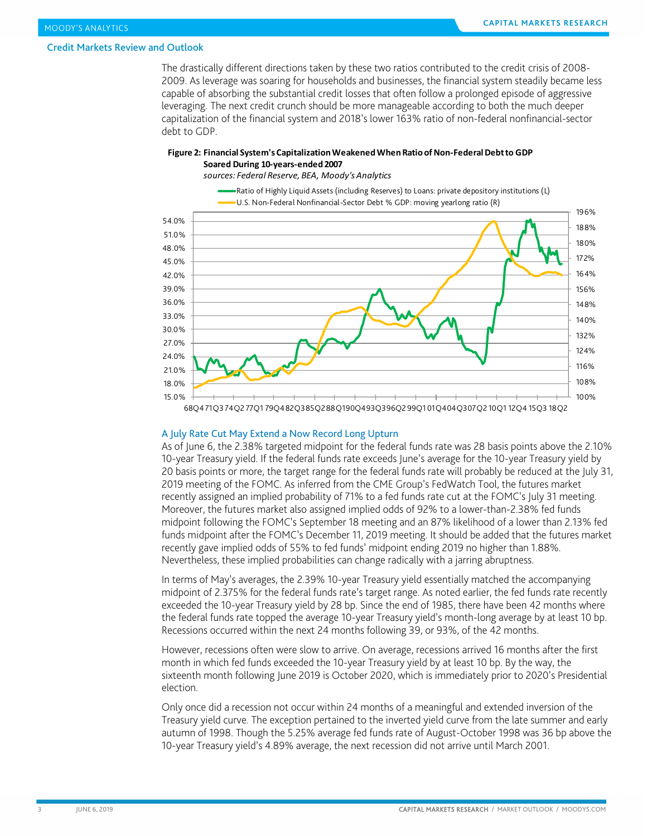The drastically different directions taken by these two ratios contributed to the credit crisis of 2008- 2009. As leverage was soaring for households and businesses, the financial system steadily became less capable of absorbing the substantial credit losses that often follow a prolonged episode of aggressive leveraging. The next credit crunch should be more manageable according to both the much deeper capitalization of the financial system and 2018's lower 163% ratio of non-federal nonfinancial-sector debt to GDP.

#### **Figure 2: Financial System's Capitalization Weakened When Ratio of Non-Federal Debt to GDP Soared During 10-years-ended 2007**

*sources: Federal Reserve, BEA, Moody's Analytics*



#### A July Rate Cut May Extend a Now Record Long Upturn

As of June 6, the 2.38% targeted midpoint for the federal funds rate was 28 basis points above the 2.10% 10-year Treasury yield. If the federal funds rate exceeds June's average for the 10-year Treasury yield by 20 basis points or more, the target range for the federal funds rate will probably be reduced at the July 31, 2019 meeting of the FOMC. As inferred from the CME Group's FedWatch Tool, the futures market recently assigned an implied probability of 71% to a fed funds rate cut at the FOMC's July 31 meeting. Moreover, the futures market also assigned implied odds of 92% to a lower-than-2.38% fed funds midpoint following the FOMC's September 18 meeting and an 87% likelihood of a lower than 2.13% fed funds midpoint after the FOMC's December 11, 2019 meeting. It should be added that the futures market recently gave implied odds of 55% to fed funds' midpoint ending 2019 no higher than 1.88%. Nevertheless, these implied probabilities can change radically with a jarring abruptness.

In terms of May's averages, the 2.39% 10-year Treasury yield essentially matched the accompanying midpoint of 2.375% for the federal funds rate's target range. As noted earlier, the fed funds rate recently exceeded the 10-year Treasury yield by 28 bp. Since the end of 1985, there have been 42 months where the federal funds rate topped the average 10-year Treasury yield's month-long average by at least 10 bp. Recessions occurred within the next 24 months following 39, or 93%, of the 42 months.

However, recessions often were slow to arrive. On average, recessions arrived 16 months after the first month in which fed funds exceeded the 10-year Treasury yield by at least 10 bp. By the way, the sixteenth month following June 2019 is October 2020, which is immediately prior to 2020's Presidential election.

Only once did a recession not occur within 24 months of a meaningful and extended inversion of the Treasury yield curve. The exception pertained to the inverted yield curve from the late summer and early autumn of 1998. Though the 5.25% average fed funds rate of August-October 1998 was 36 bp above the 10-year Treasury yield's 4.89% average, the next recession did not arrive until March 2001.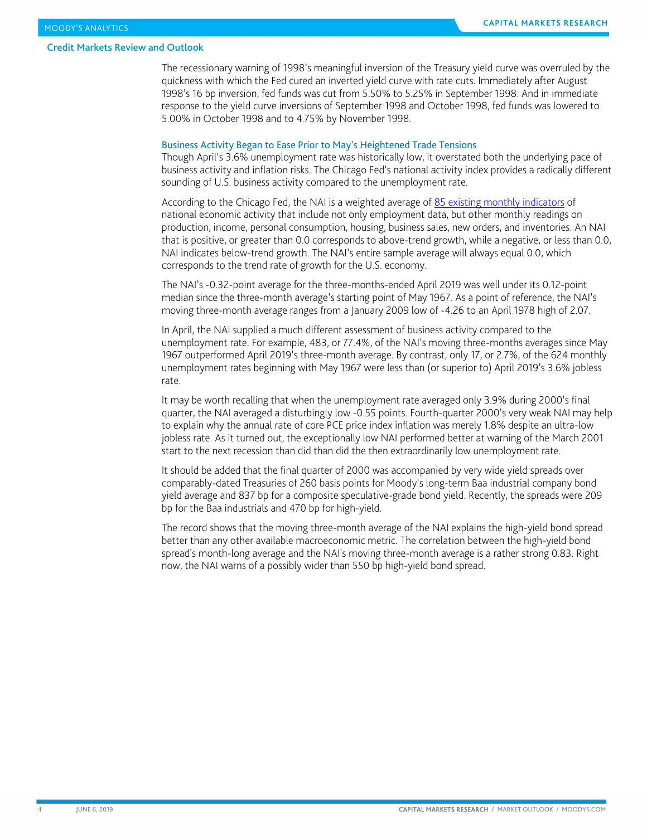The recessionary warning of 1998's meaningful inversion of the Treasury yield curve was overruled by the quickness with which the Fed cured an inverted yield curve with rate cuts. Immediately after August 1998's 16 bp inversion, fed funds was cut from 5.50% to 5.25% in September 1998. And in immediate response to the yield curve inversions of September 1998 and October 1998, fed funds was lowered to 5.00% in October 1998 and to 4.75% by November 1998.

#### Business Activity Began to Ease Prior to May's Heightened Trade Tensions

Though April's 3.6% unemployment rate was historically low, it overstated both the underlying pace of business activity and inflation risks. The Chicago Fed's national activity index provides a radically different sounding of U.S. business activity compared to the unemployment rate.

According to the Chicago Fed, the NAI is a weighted average of [85 existing monthly indicators](https://www.chicagofed.org/%7E/media/publications/cfnai/background/cfnai-indicators-list-pdf.pdf?la=en) of national economic activity that include not only employment data, but other monthly readings on production, income, personal consumption, housing, business sales, new orders, and inventories. An NAI that is positive, or greater than 0.0 corresponds to above-trend growth, while a negative, or less than 0.0, NAI indicates below-trend growth. The NAI's entire sample average will always equal 0.0, which corresponds to the trend rate of growth for the U.S. economy.

The NAI's -0.32-point average for the three-months-ended April 2019 was well under its 0.12-point median since the three-month average's starting point of May 1967. As a point of reference, the NAI's moving three-month average ranges from a January 2009 low of -4.26 to an April 1978 high of 2.07.

In April, the NAI supplied a much different assessment of business activity compared to the unemployment rate. For example, 483, or 77.4%, of the NAI's moving three-months averages since May 1967 outperformed April 2019's three-month average. By contrast, only 17, or 2.7%, of the 624 monthly unemployment rates beginning with May 1967 were less than (or superior to) April 2019's 3.6% jobless rate.

It may be worth recalling that when the unemployment rate averaged only 3.9% during 2000's final quarter, the NAI averaged a disturbingly low -0.55 points. Fourth-quarter 2000's very weak NAI may help to explain why the annual rate of core PCE price index inflation was merely 1.8% despite an ultra-low jobless rate. As it turned out, the exceptionally low NAI performed better at warning of the March 2001 start to the next recession than did than did the then extraordinarily low unemployment rate.

It should be added that the final quarter of 2000 was accompanied by very wide yield spreads over comparably-dated Treasuries of 260 basis points for Moody's long-term Baa industrial company bond yield average and 837 bp for a composite speculative-grade bond yield. Recently, the spreads were 209 bp for the Baa industrials and 470 bp for high-yield.

The record shows that the moving three-month average of the NAI explains the high-yield bond spread better than any other available macroeconomic metric. The correlation between the high-yield bond spread's month-long average and the NAI's moving three-month average is a rather strong 0.83. Right now, the NAI warns of a possibly wider than 550 bp high-yield bond spread.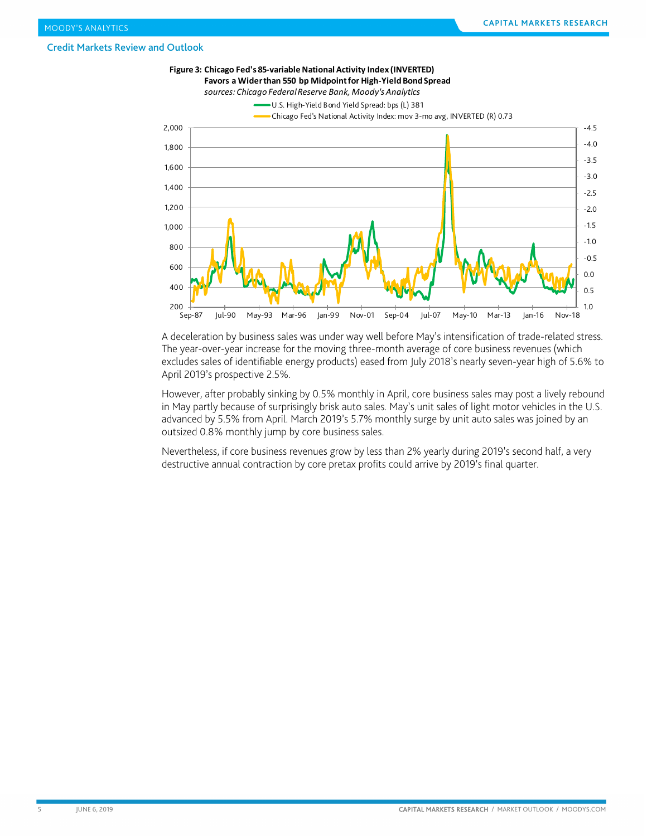

A deceleration by business sales was under way well before May's intensification of trade-related stress. The year-over-year increase for the moving three-month average of core business revenues (which excludes sales of identifiable energy products) eased from July 2018's nearly seven-year high of 5.6% to April 2019's prospective 2.5%.

However, after probably sinking by 0.5% monthly in April, core business sales may post a lively rebound in May partly because of surprisingly brisk auto sales. May's unit sales of light motor vehicles in the U.S. advanced by 5.5% from April. March 2019's 5.7% monthly surge by unit auto sales was joined by an outsized 0.8% monthly jump by core business sales.

Nevertheless, if core business revenues grow by less than 2% yearly during 2019's second half, a very destructive annual contraction by core pretax profits could arrive by 2019's final quarter.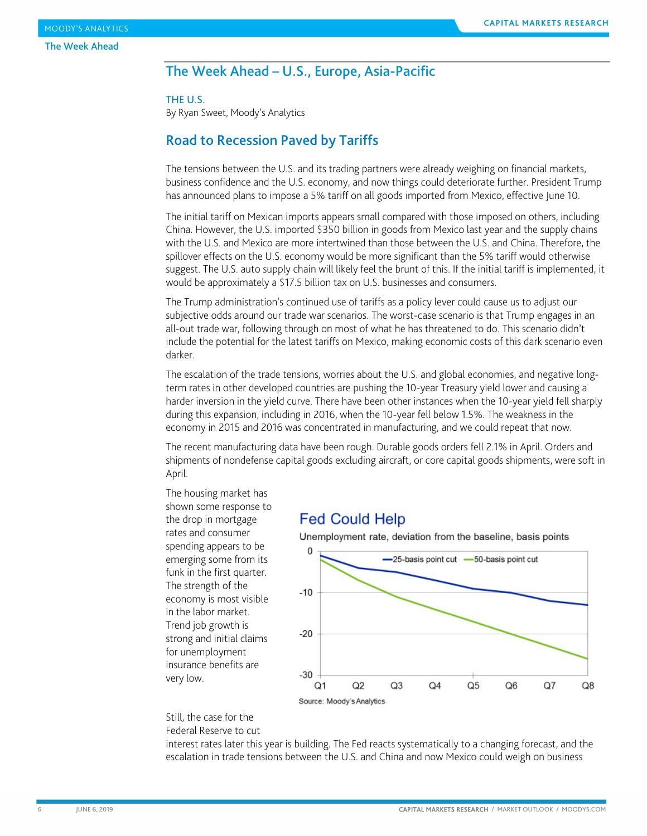# <span id="page-5-0"></span>The Week Ahead – U.S., Europe, Asia-Pacific

#### THE U.S.

By Ryan Sweet, Moody's Analytics

# Road to Recession Paved by Tariffs

The tensions between the U.S. and its trading partners were already weighing on financial markets, business confidence and the U.S. economy, and now things could deteriorate further. President Trump has announced plans to impose a 5% tariff on all goods imported from Mexico, effective June 10.

The initial tariff on Mexican imports appears small compared with those imposed on others, including China. However, the U.S. imported \$350 billion in goods from Mexico last year and the supply chains with the U.S. and Mexico are more intertwined than those between the U.S. and China. Therefore, the spillover effects on the U.S. economy would be more significant than the 5% tariff would otherwise suggest. The U.S. auto supply chain will likely feel the brunt of this. If the initial tariff is implemented, it would be approximately a \$17.5 billion tax on U.S. businesses and consumers.

The Trump administration's continued use of tariffs as a policy lever could cause us to adjust our subjective odds around our trade war scenarios. The worst-case scenario is that Trump engages in an all-out trade war, following through on most of what he has threatened to do. This scenario didn't include the potential for the latest tariffs on Mexico, making economic costs of this dark scenario even darker.

The escalation of the trade tensions, worries about the U.S. and global economies, and negative longterm rates in other developed countries are pushing the 10-year Treasury yield lower and causing a harder inversion in the yield curve. There have been other instances when the 10-year yield fell sharply during this expansion, including in 2016, when the 10-year fell below 1.5%. The weakness in the economy in 2015 and 2016 was concentrated in manufacturing, and we could repeat that now.

The recent manufacturing data have been rough. Durable goods orders fell 2.1% in April. Orders and shipments of nondefense capital goods excluding aircraft, or core capital goods shipments, were soft in April.

The housing market has shown some response to the drop in mortgage rates and consumer spending appears to be emerging some from its funk in the first quarter. The strength of the economy is most visible in the labor market. Trend job growth is strong and initial claims for unemployment insurance benefits are very low.

# **Fed Could Help**

Unemployment rate, deviation from the baseline, basis points



#### Still, the case for the Federal Reserve to cut

interest rates later this year is building. The Fed reacts systematically to a changing forecast, and the escalation in trade tensions between the U.S. and China and now Mexico could weigh on business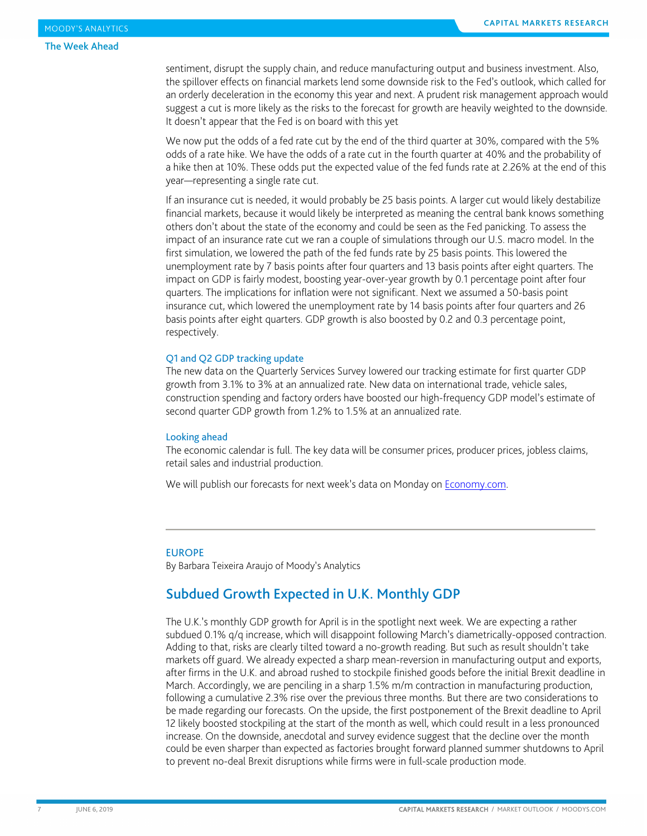#### The Week Ahead

sentiment, disrupt the supply chain, and reduce manufacturing output and business investment. Also, the spillover effects on financial markets lend some downside risk to the Fed's outlook, which called for an orderly deceleration in the economy this year and next. A prudent risk management approach would suggest a cut is more likely as the risks to the forecast for growth are heavily weighted to the downside. It doesn't appear that the Fed is on board with this yet

We now put the odds of a fed rate cut by the end of the third quarter at 30%, compared with the 5% odds of a rate hike. We have the odds of a rate cut in the fourth quarter at 40% and the probability of a hike then at 10%. These odds put the expected value of the fed funds rate at 2.26% at the end of this year—representing a single rate cut.

If an insurance cut is needed, it would probably be 25 basis points. A larger cut would likely destabilize financial markets, because it would likely be interpreted as meaning the central bank knows something others don't about the state of the economy and could be seen as the Fed panicking. To assess the impact of an insurance rate cut we ran a couple of simulations through our U.S. macro model. In the first simulation, we lowered the path of the fed funds rate by 25 basis points. This lowered the unemployment rate by 7 basis points after four quarters and 13 basis points after eight quarters. The impact on GDP is fairly modest, boosting year-over-year growth by 0.1 percentage point after four quarters. The implications for inflation were not significant. Next we assumed a 50-basis point insurance cut, which lowered the unemployment rate by 14 basis points after four quarters and 26 basis points after eight quarters. GDP growth is also boosted by 0.2 and 0.3 percentage point, respectively.

#### Q1 and Q2 GDP tracking update

The new data on the Quarterly Services Survey lowered our tracking estimate for first quarter GDP growth from 3.1% to 3% at an annualized rate. New data on international trade, vehicle sales, construction spending and factory orders have boosted our high-frequency GDP model's estimate of second quarter GDP growth from 1.2% to 1.5% at an annualized rate.

#### Looking ahead

The economic calendar is full. The key data will be consumer prices, producer prices, jobless claims, retail sales and industrial production.

We will publish our forecasts for next week's data on Monday on [Economy.com.](https://www.economy.com/dismal/)

#### EUROPE

By Barbara Teixeira Araujo of Moody's Analytics

# Subdued Growth Expected in U.K. Monthly GDP

The U.K.'s monthly GDP growth for April is in the spotlight next week. We are expecting a rather subdued 0.1% q/q increase, which will disappoint following March's diametrically-opposed contraction. Adding to that, risks are clearly tilted toward a no-growth reading. But such as result shouldn't take markets off guard. We already expected a sharp mean-reversion in manufacturing output and exports, after firms in the U.K. and abroad rushed to stockpile finished goods before the initial Brexit deadline in March. Accordingly, we are penciling in a sharp 1.5% m/m contraction in manufacturing production, following a cumulative 2.3% rise over the previous three months. But there are two considerations to be made regarding our forecasts. On the upside, the first postponement of the Brexit deadline to April 12 likely boosted stockpiling at the start of the month as well, which could result in a less pronounced increase. On the downside, anecdotal and survey evidence suggest that the decline over the month could be even sharper than expected as factories brought forward planned summer shutdowns to April to prevent no-deal Brexit disruptions while firms were in full-scale production mode.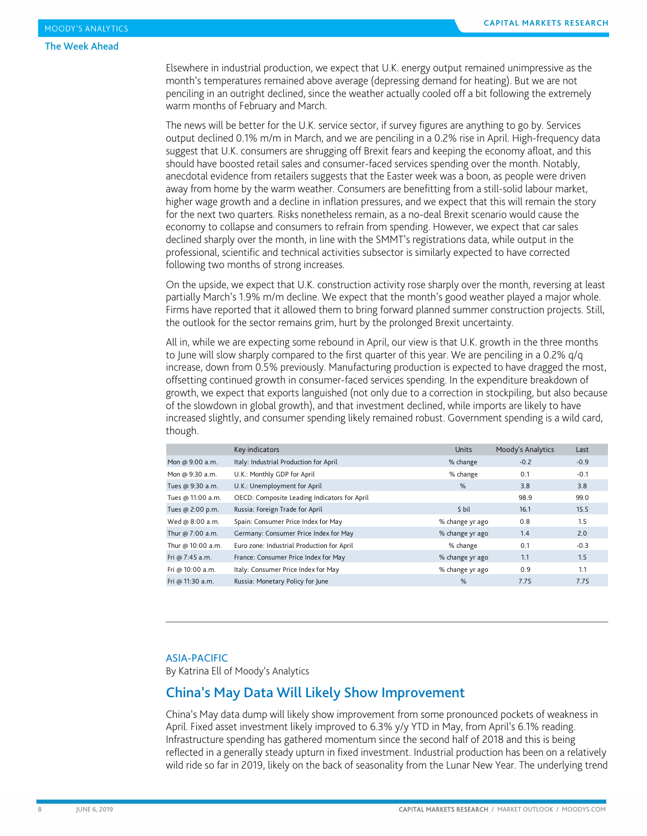#### The Week Ahead

Elsewhere in industrial production, we expect that U.K. energy output remained unimpressive as the month's temperatures remained above average (depressing demand for heating). But we are not penciling in an outright declined, since the weather actually cooled off a bit following the extremely warm months of February and March.

The news will be better for the U.K. service sector, if survey figures are anything to go by. Services output declined 0.1% m/m in March, and we are penciling in a 0.2% rise in April. High-frequency data suggest that U.K. consumers are shrugging off Brexit fears and keeping the economy afloat, and this should have boosted retail sales and consumer-faced services spending over the month. Notably, anecdotal evidence from retailers suggests that the Easter week was a boon, as people were driven away from home by the warm weather. Consumers are benefitting from a still-solid labour market, higher wage growth and a decline in inflation pressures, and we expect that this will remain the story for the next two quarters. Risks nonetheless remain, as a no-deal Brexit scenario would cause the economy to collapse and consumers to refrain from spending. However, we expect that car sales declined sharply over the month, in line with the SMMT's registrations data, while output in the professional, scientific and technical activities subsector is similarly expected to have corrected following two months of strong increases.

On the upside, we expect that U.K. construction activity rose sharply over the month, reversing at least partially March's 1.9% m/m decline. We expect that the month's good weather played a major whole. Firms have reported that it allowed them to bring forward planned summer construction projects. Still, the outlook for the sector remains grim, hurt by the prolonged Brexit uncertainty.

All in, while we are expecting some rebound in April, our view is that U.K. growth in the three months to June will slow sharply compared to the first quarter of this year. We are penciling in a 0.2% q/q increase, down from 0.5% previously. Manufacturing production is expected to have dragged the most, offsetting continued growth in consumer-faced services spending. In the expenditure breakdown of growth, we expect that exports languished (not only due to a correction in stockpiling, but also because of the slowdown in global growth), and that investment declined, while imports are likely to have increased slightly, and consumer spending likely remained robust. Government spending is a wild card, though.

|                   | Key indicators                               | <b>Units</b>    | Moody's Analytics | Last   |
|-------------------|----------------------------------------------|-----------------|-------------------|--------|
| Mon @ 9:00 a.m.   | Italy: Industrial Production for April       | % change        | $-0.2$            | $-0.9$ |
| Mon @ 9:30 a.m.   | U.K.: Monthly GDP for April                  | % change        | 0.1               | $-0.1$ |
| Tues @ 9:30 a.m.  | U.K.: Unemployment for April                 | %               | 3.8               | 3.8    |
| Tues @ 11:00 a.m. | OECD: Composite Leading Indicators for April |                 | 98.9              | 99.0   |
| Tues @ 2:00 p.m.  | Russia: Foreign Trade for April              | \$ bil          | 16.1              | 15.5   |
| Wed @ 8:00 a.m.   | Spain: Consumer Price Index for May          | % change yr ago | 0.8               | 1.5    |
| Thur @ 7:00 a.m.  | Germany: Consumer Price Index for May        | % change yr ago | 1.4               | 2.0    |
| Thur @ 10:00 a.m. | Euro zone: Industrial Production for April   | % change        | 0.1               | $-0.3$ |
| Fri @ 7:45 a.m.   | France: Consumer Price Index for May         | % change yr ago | 1.1               | 1.5    |
| Fri @ 10:00 a.m.  | Italy: Consumer Price Index for May          | % change yr ago | 0.9               | 1.1    |
| Fri @ 11:30 a.m.  | Russia: Monetary Policy for June             | %               | 7.75              | 7.75   |

#### ASIA-PACIFIC

By Katrina Ell of Moody's Analytics

## China's May Data Will Likely Show Improvement

China's May data dump will likely show improvement from some pronounced pockets of weakness in April. Fixed asset investment likely improved to 6.3% y/y YTD in May, from April's 6.1% reading. Infrastructure spending has gathered momentum since the second half of 2018 and this is being reflected in a generally steady upturn in fixed investment. Industrial production has been on a relatively wild ride so far in 2019, likely on the back of seasonality from the Lunar New Year. The underlying trend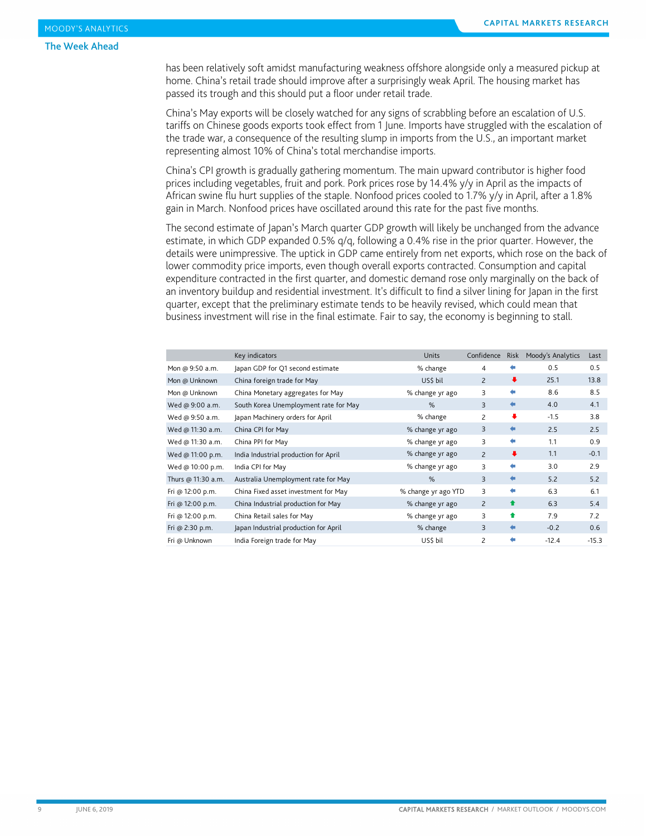#### The Week Ahead

has been relatively soft amidst manufacturing weakness offshore alongside only a measured pickup at home. China's retail trade should improve after a surprisingly weak April. The housing market has passed its trough and this should put a floor under retail trade.

China's May exports will be closely watched for any signs of scrabbling before an escalation of U.S. tariffs on Chinese goods exports took effect from 1 June. Imports have struggled with the escalation of the trade war, a consequence of the resulting slump in imports from the U.S., an important market representing almost 10% of China's total merchandise imports.

China's CPI growth is gradually gathering momentum. The main upward contributor is higher food prices including vegetables, fruit and pork. Pork prices rose by 14.4% y/y in April as the impacts of African swine flu hurt supplies of the staple. Nonfood prices cooled to 1.7% y/y in April, after a 1.8% gain in March. Nonfood prices have oscillated around this rate for the past five months.

The second estimate of Japan's March quarter GDP growth will likely be unchanged from the advance estimate, in which GDP expanded 0.5% q/q, following a 0.4% rise in the prior quarter. However, the details were unimpressive. The uptick in GDP came entirely from net exports, which rose on the back of lower commodity price imports, even though overall exports contracted. Consumption and capital expenditure contracted in the first quarter, and domestic demand rose only marginally on the back of an inventory buildup and residential investment. It's difficult to find a silver lining for Japan in the first quarter, except that the preliminary estimate tends to be heavily revised, which could mean that business investment will rise in the final estimate. Fair to say, the economy is beginning to stall.

|                    | Key indicators                        | <b>Units</b>        | Confidence     | Risk                 | Moody's Analytics | Last    |
|--------------------|---------------------------------------|---------------------|----------------|----------------------|-------------------|---------|
| Mon @ 9:50 a.m.    | Japan GDP for Q1 second estimate      | % change            | 4              |                      | 0.5               | 0.5     |
| Mon @ Unknown      | China foreign trade for May           | US\$ bil            | $\overline{2}$ | $\ddot{\phantom{1}}$ | 25.1              | 13.8    |
| Mon @ Unknown      | China Monetary aggregates for May     | % change yr ago     | 3              | ⇚                    | 8.6               | 8.5     |
| Wed @ 9:00 a.m.    | South Korea Unemployment rate for May | %                   | 3              | $\leftarrow$         | 4.0               | 4.1     |
| Wed @ 9:50 a.m.    | Japan Machinery orders for April      | % change            | $\overline{c}$ | ۰                    | $-1.5$            | 3.8     |
| Wed @ 11:30 a.m.   | China CPI for May                     | % change yr ago     | 3              | ⇚                    | 2.5               | 2.5     |
| Wed @ 11:30 a.m.   | China PPI for May                     | % change yr ago     | 3              | ⇚                    | 1.1               | 0.9     |
| Wed @ 11:00 p.m.   | India Industrial production for April | % change yr ago     | $\overline{2}$ | $\ddot{\phantom{1}}$ | 1.1               | $-0.1$  |
| Wed @ 10:00 p.m.   | India CPI for May                     | % change yr ago     | 3              | ⇚                    | 3.0               | 2.9     |
| Thurs @ 11:30 a.m. | Australia Unemployment rate for May   | $\%$                | 3              | €                    | 5.2               | 5.2     |
| Fri @ 12:00 p.m.   | China Fixed asset investment for May  | % change yr ago YTD | 3              | ⇚                    | 6.3               | 6.1     |
| Fri @ 12:00 p.m.   | China Industrial production for May   | % change yr ago     | $\overline{2}$ | ↟                    | 6.3               | 5.4     |
| Fri @ 12:00 p.m.   | China Retail sales for May            | % change yr ago     | 3              | 合                    | 7.9               | 7.2     |
| Fri @ 2:30 p.m.    | Japan Industrial production for April | % change            | 3              | ⇚                    | $-0.2$            | 0.6     |
| Fri @ Unknown      | India Foreign trade for May           | US\$ bil            | $\mathsf{Z}$   | ⇚                    | $-12.4$           | $-15.3$ |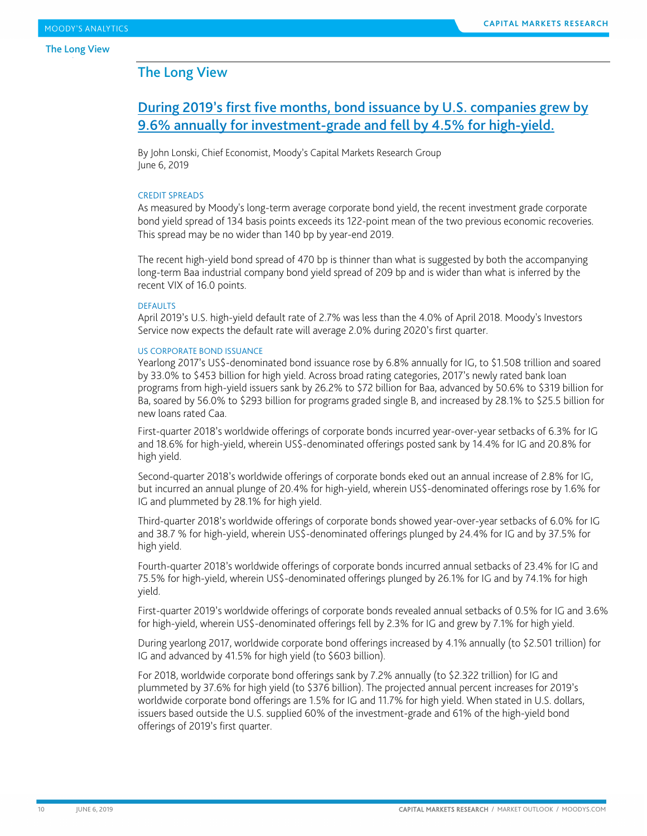# <span id="page-9-0"></span>During 2019's first five months, bond issuance by U.S. companies grew by 9.6% annually for investment-grade and fell by 4.5% for high-yield.

By John Lonski, Chief Economist, Moody's Capital Markets Research Group June 6, 2019

#### CREDIT SPREADS

As measured by Moody's long-term average corporate bond yield, the recent investment grade corporate bond yield spread of 134 basis points exceeds its 122-point mean of the two previous economic recoveries. This spread may be no wider than 140 bp by year-end 2019.

The recent high-yield bond spread of 470 bp is thinner than what is suggested by both the accompanying long-term Baa industrial company bond yield spread of 209 bp and is wider than what is inferred by the recent VIX of 16.0 points.

#### DEFAULTS

April 2019's U.S. high-yield default rate of 2.7% was less than the 4.0% of April 2018. Moody's Investors Service now expects the default rate will average 2.0% during 2020's first quarter.

#### US CORPORATE BOND ISSUANCE

Yearlong 2017's US\$-denominated bond issuance rose by 6.8% annually for IG, to \$1.508 trillion and soared by 33.0% to \$453 billion for high yield. Across broad rating categories, 2017's newly rated bank loan programs from high-yield issuers sank by 26.2% to \$72 billion for Baa, advanced by 50.6% to \$319 billion for Ba, soared by 56.0% to \$293 billion for programs graded single B, and increased by 28.1% to \$25.5 billion for new loans rated Caa.

First-quarter 2018's worldwide offerings of corporate bonds incurred year-over-year setbacks of 6.3% for IG and 18.6% for high-yield, wherein US\$-denominated offerings posted sank by 14.4% for IG and 20.8% for high yield.

Second-quarter 2018's worldwide offerings of corporate bonds eked out an annual increase of 2.8% for IG, but incurred an annual plunge of 20.4% for high-yield, wherein US\$-denominated offerings rose by 1.6% for IG and plummeted by 28.1% for high yield.

Third-quarter 2018's worldwide offerings of corporate bonds showed year-over-year setbacks of 6.0% for IG and 38.7 % for high-yield, wherein US\$-denominated offerings plunged by 24.4% for IG and by 37.5% for high yield.

Fourth-quarter 2018's worldwide offerings of corporate bonds incurred annual setbacks of 23.4% for IG and 75.5% for high-yield, wherein US\$-denominated offerings plunged by 26.1% for IG and by 74.1% for high yield.

First-quarter 2019's worldwide offerings of corporate bonds revealed annual setbacks of 0.5% for IG and 3.6% for high-yield, wherein US\$-denominated offerings fell by 2.3% for IG and grew by 7.1% for high yield.

During yearlong 2017, worldwide corporate bond offerings increased by 4.1% annually (to \$2.501 trillion) for IG and advanced by 41.5% for high yield (to \$603 billion).

For 2018, worldwide corporate bond offerings sank by 7.2% annually (to \$2.322 trillion) for IG and plummeted by 37.6% for high yield (to \$376 billion). The projected annual percent increases for 2019's worldwide corporate bond offerings are 1.5% for IG and 11.7% for high yield. When stated in U.S. dollars, issuers based outside the U.S. supplied 60% of the investment-grade and 61% of the high-yield bond offerings of 2019's first quarter.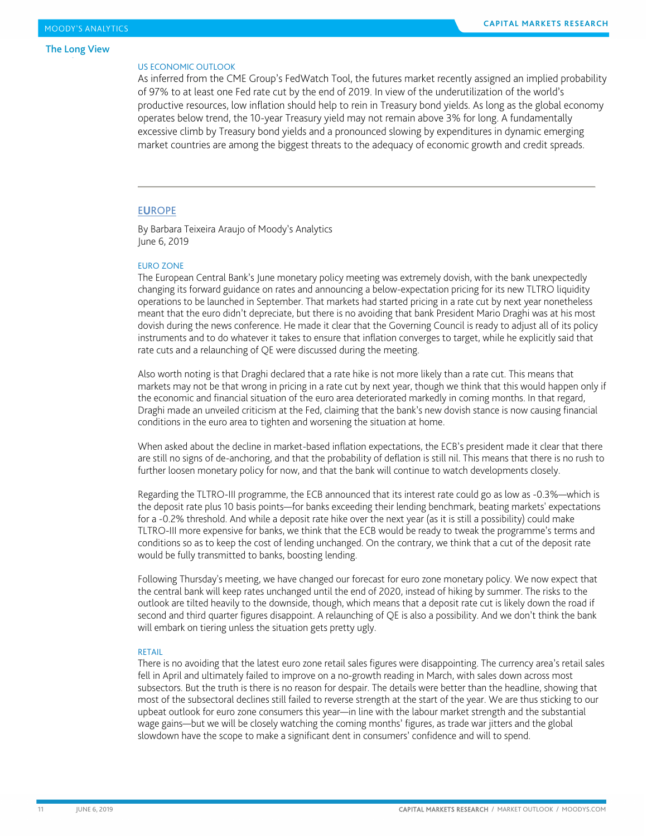#### US ECONOMIC OUTLOOK

As inferred from the CME Group's FedWatch Tool, the futures market recently assigned an implied probability of 97% to at least one Fed rate cut by the end of 2019. In view of the underutilization of the world's productive resources, low inflation should help to rein in Treasury bond yields. As long as the global economy operates below trend, the 10-year Treasury yield may not remain above 3% for long. A fundamentally excessive climb by Treasury bond yields and a pronounced slowing by expenditures in dynamic emerging market countries are among the biggest threats to the adequacy of economic growth and credit spreads.

#### **EUROPE**

By Barbara Teixeira Araujo of Moody's Analytics June 6, 2019

#### EURO ZONE

The European Central Bank's June monetary policy meeting was extremely dovish, with the bank unexpectedly changing its forward guidance on rates and announcing a below-expectation pricing for its new TLTRO liquidity operations to be launched in September. That markets had started pricing in a rate cut by next year nonetheless meant that the euro didn't depreciate, but there is no avoiding that bank President Mario Draghi was at his most dovish during the news conference. He made it clear that the Governing Council is ready to adjust all of its policy instruments and to do whatever it takes to ensure that inflation converges to target, while he explicitly said that rate cuts and a relaunching of QE were discussed during the meeting.

Also worth noting is that Draghi declared that a rate hike is not more likely than a rate cut. This means that markets may not be that wrong in pricing in a rate cut by next year, though we think that this would happen only if the economic and financial situation of the euro area deteriorated markedly in coming months. In that regard, Draghi made an unveiled criticism at the Fed, claiming that the bank's new dovish stance is now causing financial conditions in the euro area to tighten and worsening the situation at home.

When asked about the decline in market-based inflation expectations, the ECB's president made it clear that there are still no signs of de-anchoring, and that the probability of deflation is still nil. This means that there is no rush to further loosen monetary policy for now, and that the bank will continue to watch developments closely.

Regarding the TLTRO-III programme, the ECB announced that its interest rate could go as low as -0.3%—which is the deposit rate plus 10 basis points—for banks exceeding their lending benchmark, beating markets' expectations for a -0.2% threshold. And while a deposit rate hike over the next year (as it is still a possibility) could make TLTRO-III more expensive for banks, we think that the ECB would be ready to tweak the programme's terms and conditions so as to keep the cost of lending unchanged. On the contrary, we think that a cut of the deposit rate would be fully transmitted to banks, boosting lending.

Following Thursday's meeting, we have changed our forecast for euro zone monetary policy. We now expect that the central bank will keep rates unchanged until the end of 2020, instead of hiking by summer. The risks to the outlook are tilted heavily to the downside, though, which means that a deposit rate cut is likely down the road if second and third quarter figures disappoint. A relaunching of QE is also a possibility. And we don't think the bank will embark on tiering unless the situation gets pretty ugly.

#### RETAIL

There is no avoiding that the latest euro zone retail sales figures were disappointing. The currency area's retail sales fell in April and ultimately failed to improve on a no-growth reading in March, with sales down across most subsectors. But the truth is there is no reason for despair. The details were better than the headline, showing that most of the subsectoral declines still failed to reverse strength at the start of the year. We are thus sticking to our upbeat outlook for euro zone consumers this year—in line with the labour market strength and the substantial wage gains—but we will be closely watching the coming months' figures, as trade war jitters and the global slowdown have the scope to make a significant dent in consumers' confidence and will to spend.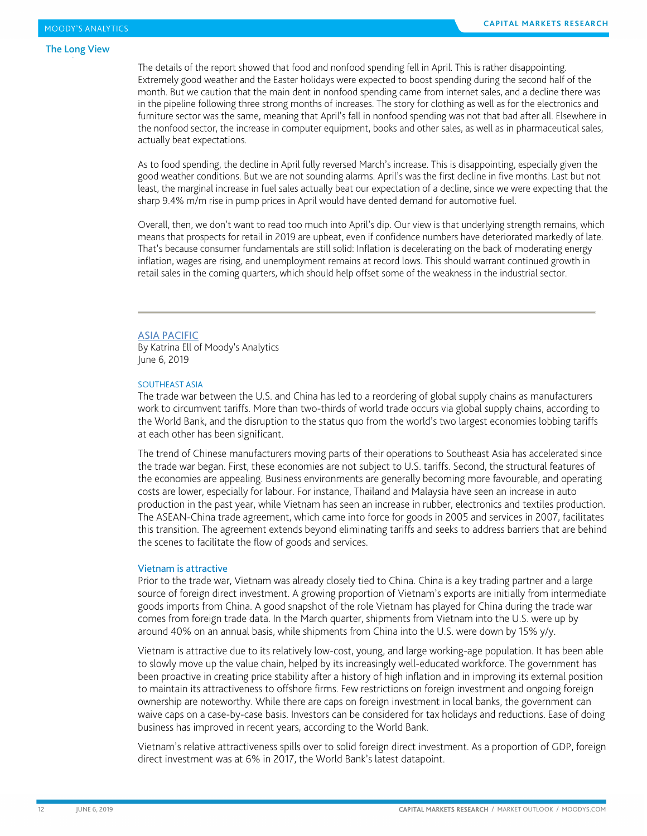The details of the report showed that food and nonfood spending fell in April. This is rather disappointing. Extremely good weather and the Easter holidays were expected to boost spending during the second half of the month. But we caution that the main dent in nonfood spending came from internet sales, and a decline there was in the pipeline following three strong months of increases. The story for clothing as well as for the electronics and furniture sector was the same, meaning that April's fall in nonfood spending was not that bad after all. Elsewhere in the nonfood sector, the increase in computer equipment, books and other sales, as well as in pharmaceutical sales, actually beat expectations.

As to food spending, the decline in April fully reversed March's increase. This is disappointing, especially given the good weather conditions. But we are not sounding alarms. April's was the first decline in five months. Last but not least, the marginal increase in fuel sales actually beat our expectation of a decline, since we were expecting that the sharp 9.4% m/m rise in pump prices in April would have dented demand for automotive fuel.

Overall, then, we don't want to read too much into April's dip. Our view is that underlying strength remains, which means that prospects for retail in 2019 are upbeat, even if confidence numbers have deteriorated markedly of late. That's because consumer fundamentals are still solid: Inflation is decelerating on the back of moderating energy inflation, wages are rising, and unemployment remains at record lows. This should warrant continued growth in retail sales in the coming quarters, which should help offset some of the weakness in the industrial sector.

#### ASIA PACIFIC

By Katrina Ell of Moody's Analytics June 6, 2019

#### SOUTHEAST ASIA

The trade war between the U.S. and China has led to a reordering of global supply chains as manufacturers work to circumvent tariffs. More than two-thirds of world trade occurs via global supply chains, according to the World Bank, and the disruption to the status quo from the world's two largest economies lobbing tariffs at each other has been significant.

The trend of Chinese manufacturers moving parts of their operations to Southeast Asia has accelerated since the trade war began. First, these economies are not subject to U.S. tariffs. Second, the structural features of the economies are appealing. Business environments are generally becoming more favourable, and operating costs are lower, especially for labour. For instance, Thailand and Malaysia have seen an increase in auto production in the past year, while Vietnam has seen an increase in rubber, electronics and textiles production. The ASEAN-China trade agreement, which came into force for goods in 2005 and services in 2007, facilitates this transition. The agreement extends beyond eliminating tariffs and seeks to address barriers that are behind the scenes to facilitate the flow of goods and services.

#### Vietnam is attractive

Prior to the trade war, Vietnam was already closely tied to China. China is a key trading partner and a large source of foreign direct investment. A growing proportion of Vietnam's exports are initially from intermediate goods imports from China. A good snapshot of the role Vietnam has played for China during the trade war comes from foreign trade data. In the March quarter, shipments from Vietnam into the U.S. were up by around 40% on an annual basis, while shipments from China into the U.S. were down by 15% y/y.

Vietnam is attractive due to its relatively low-cost, young, and large working-age population. It has been able to slowly move up the value chain, helped by its increasingly well-educated workforce. The government has been proactive in creating price stability after a history of high inflation and in improving its external position to maintain its attractiveness to offshore firms. Few restrictions on foreign investment and ongoing foreign ownership are noteworthy. While there are caps on foreign investment in local banks, the government can waive caps on a case-by-case basis. Investors can be considered for tax holidays and reductions. Ease of doing business has improved in recent years, according to the World Bank.

Vietnam's relative attractiveness spills over to solid foreign direct investment. As a proportion of GDP, foreign direct investment was at 6% in 2017, the World Bank's latest datapoint.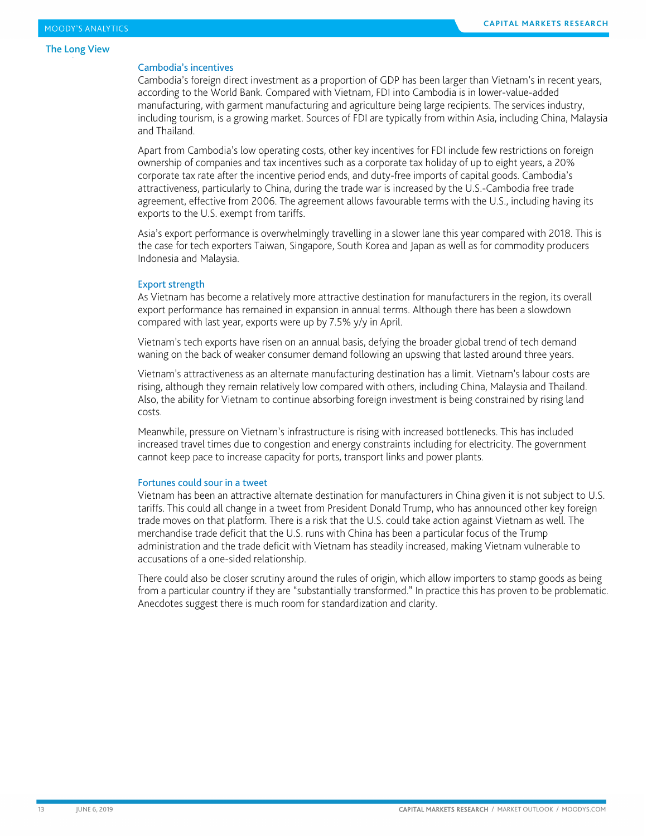#### Cambodia's incentives

Cambodia's foreign direct investment as a proportion of GDP has been larger than Vietnam's in recent years, according to the World Bank. Compared with Vietnam, FDI into Cambodia is in lower-value-added manufacturing, with garment manufacturing and agriculture being large recipients. The services industry, including tourism, is a growing market. Sources of FDI are typically from within Asia, including China, Malaysia and Thailand.

Apart from Cambodia's low operating costs, other key incentives for FDI include few restrictions on foreign ownership of companies and tax incentives such as a corporate tax holiday of up to eight years, a 20% corporate tax rate after the incentive period ends, and duty-free imports of capital goods. Cambodia's attractiveness, particularly to China, during the trade war is increased by the U.S.-Cambodia free trade agreement, effective from 2006. The agreement allows favourable terms with the U.S., including having its exports to the U.S. exempt from tariffs.

Asia's export performance is overwhelmingly travelling in a slower lane this year compared with 2018. This is the case for tech exporters Taiwan, Singapore, South Korea and Japan as well as for commodity producers Indonesia and Malaysia.

#### Export strength

As Vietnam has become a relatively more attractive destination for manufacturers in the region, its overall export performance has remained in expansion in annual terms. Although there has been a slowdown compared with last year, exports were up by 7.5% y/y in April.

Vietnam's tech exports have risen on an annual basis, defying the broader global trend of tech demand waning on the back of weaker consumer demand following an upswing that lasted around three years.

Vietnam's attractiveness as an alternate manufacturing destination has a limit. Vietnam's labour costs are rising, although they remain relatively low compared with others, including China, Malaysia and Thailand. Also, the ability for Vietnam to continue absorbing foreign investment is being constrained by rising land costs.

Meanwhile, pressure on Vietnam's infrastructure is rising with increased bottlenecks. This has included increased travel times due to congestion and energy constraints including for electricity. The government cannot keep pace to increase capacity for ports, transport links and power plants.

#### Fortunes could sour in a tweet

Vietnam has been an attractive alternate destination for manufacturers in China given it is not subject to U.S. tariffs. This could all change in a tweet from President Donald Trump, who has announced other key foreign trade moves on that platform. There is a risk that the U.S. could take action against Vietnam as well. The merchandise trade deficit that the U.S. runs with China has been a particular focus of the Trump administration and the trade deficit with Vietnam has steadily increased, making Vietnam vulnerable to accusations of a one-sided relationship.

There could also be closer scrutiny around the rules of origin, which allow importers to stamp goods as being from a particular country if they are "substantially transformed." In practice this has proven to be problematic. Anecdotes suggest there is much room for standardization and clarity.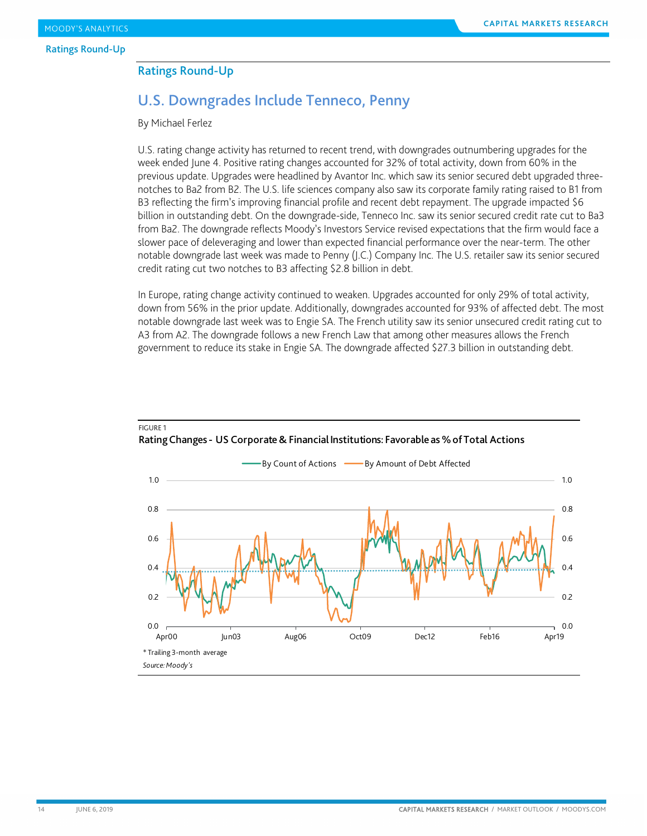### <span id="page-13-0"></span>Ratings Round-Up

# U.S. Downgrades Include Tenneco, Penny

By Michael Ferlez

U.S. rating change activity has returned to recent trend, with downgrades outnumbering upgrades for the week ended June 4. Positive rating changes accounted for 32% of total activity, down from 60% in the previous update. Upgrades were headlined by Avantor Inc. which saw its senior secured debt upgraded threenotches to Ba2 from B2. The U.S. life sciences company also saw its corporate family rating raised to B1 from B3 reflecting the firm's improving financial profile and recent debt repayment. The upgrade impacted \$6 billion in outstanding debt. On the downgrade-side, Tenneco Inc. saw its senior secured credit rate cut to Ba3 from Ba2. The downgrade reflects Moody's Investors Service revised expectations that the firm would face a slower pace of deleveraging and lower than expected financial performance over the near-term. The other notable downgrade last week was made to Penny (J.C.) Company Inc. The U.S. retailer saw its senior secured credit rating cut two notches to B3 affecting \$2.8 billion in debt.

In Europe, rating change activity continued to weaken. Upgrades accounted for only 29% of total activity, down from 56% in the prior update. Additionally, downgrades accounted for 93% of affected debt. The most notable downgrade last week was to Engie SA. The French utility saw its senior unsecured credit rating cut to A3 from A2. The downgrade follows a new French Law that among other measures allows the French government to reduce its stake in Engie SA. The downgrade affected \$27.3 billion in outstanding debt.



FIGURE 1 Rating Changes - US Corporate & Financial Institutions: Favorable as % of Total Actions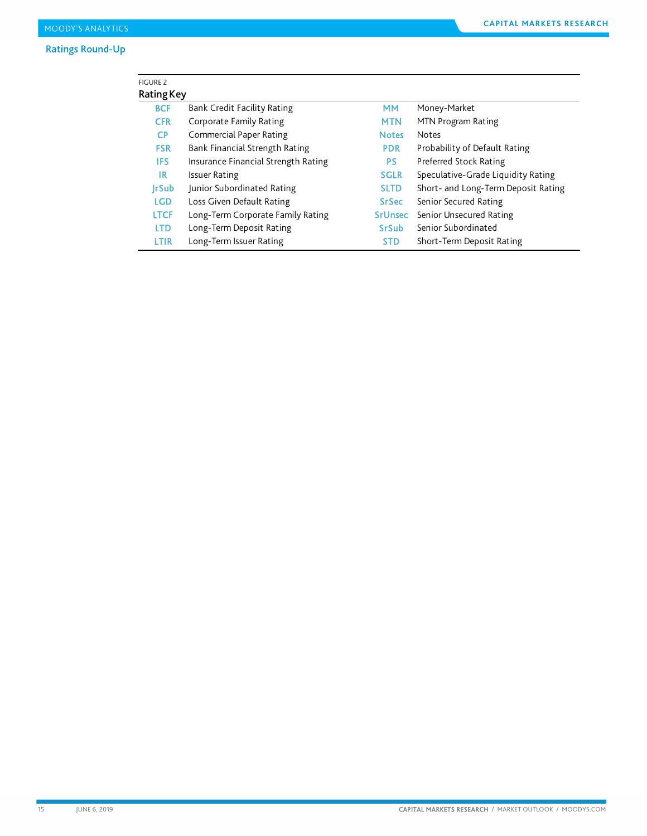| <b>FIGURE 2</b>   |                                     |                |                                     |
|-------------------|-------------------------------------|----------------|-------------------------------------|
| <b>Rating Key</b> |                                     |                |                                     |
| <b>BCF</b>        | Bank Credit Facility Rating         | <b>MM</b>      | Money-Market                        |
| <b>CFR</b>        | <b>Corporate Family Rating</b>      | <b>MTN</b>     | MTN Program Rating                  |
| CP.               | <b>Commercial Paper Rating</b>      | <b>Notes</b>   | <b>Notes</b>                        |
| <b>FSR</b>        | Bank Financial Strength Rating      | <b>PDR</b>     | Probability of Default Rating       |
| IFS.              | Insurance Financial Strength Rating | <b>PS</b>      | Preferred Stock Rating              |
| IR.               | <b>Issuer Rating</b>                | <b>SGLR</b>    | Speculative-Grade Liquidity Rating  |
| <b>IrSub</b>      | Junior Subordinated Rating          | <b>SLTD</b>    | Short- and Long-Term Deposit Rating |
| <b>LGD</b>        | Loss Given Default Rating           | <b>SrSec</b>   | Senior Secured Rating               |
| <b>LTCF</b>       | Long-Term Corporate Family Rating   | <b>SrUnsec</b> | Senior Unsecured Rating             |
| <b>LTD</b>        | Long-Term Deposit Rating            | <b>SrSub</b>   | Senior Subordinated                 |
| LTIR              | Long-Term Issuer Rating             | <b>STD</b>     | Short-Term Deposit Rating           |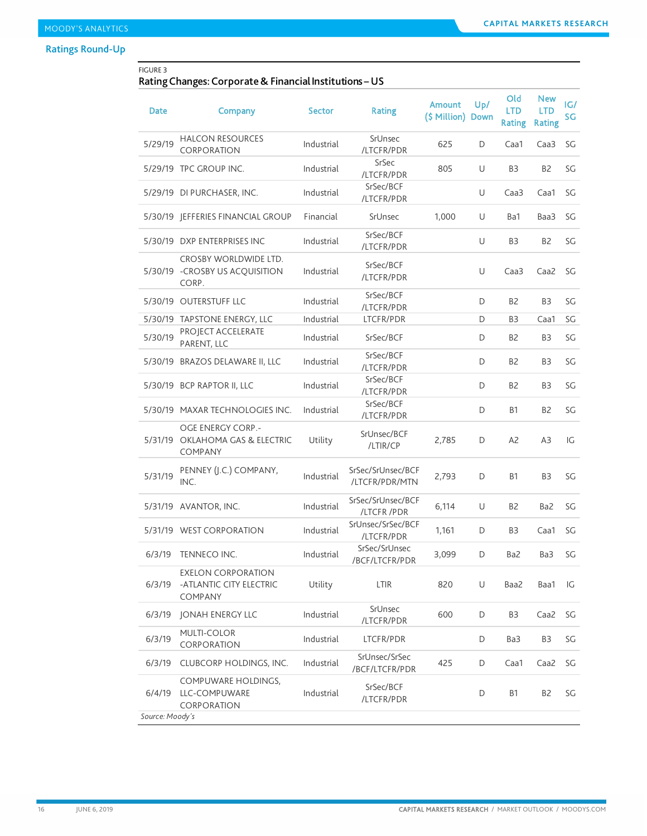# Ratings Round-Up

## FIGURE 3

## Rating Changes: Corporate & Financial Institutions –US

| Date            | Company                                                           | <b>Sector</b> | <b>Rating</b>                       | <b>Amount</b><br>(\$ Million) | Up/<br><b>Down</b> | Old<br><b>LTD</b><br><b>Rating</b> | <b>New</b><br>LTD<br><b>Rating</b> | IG/<br>SG |
|-----------------|-------------------------------------------------------------------|---------------|-------------------------------------|-------------------------------|--------------------|------------------------------------|------------------------------------|-----------|
| 5/29/19         | <b>HALCON RESOURCES</b><br>CORPORATION                            | Industrial    | SrUnsec<br>/LTCFR/PDR               | 625                           | D                  | Caa1                               | Caa3                               | SG        |
|                 | 5/29/19 TPC GROUP INC.                                            | Industrial    | SrSec<br>/LTCFR/PDR                 | 805                           | U                  | B3                                 | B <sub>2</sub>                     | SG        |
|                 | 5/29/19 DI PURCHASER, INC.                                        | Industrial    | SrSec/BCF<br>/LTCFR/PDR             |                               | U                  | Caa <sub>3</sub>                   | Caa1                               | SG        |
|                 | 5/30/19   EFFERIES FINANCIAL GROUP                                | Financial     | SrUnsec                             | 1,000                         | U                  | Ba1                                | Baa3                               | SG        |
|                 | 5/30/19 DXP ENTERPRISES INC                                       | Industrial    | SrSec/BCF<br>/LTCFR/PDR             |                               | U                  | B3                                 | B <sub>2</sub>                     | SG        |
|                 | CROSBY WORLDWIDE LTD.<br>5/30/19 - CROSBY US ACQUISITION<br>CORP. | Industrial    | SrSec/BCF<br>/LTCFR/PDR             |                               | U                  | Caa3                               | Caa2                               | SG        |
|                 | 5/30/19 OUTERSTUFF LLC                                            | Industrial    | SrSec/BCF<br>/LTCFR/PDR             |                               | D                  | B <sub>2</sub>                     | B <sub>3</sub>                     | SG        |
|                 | 5/30/19 TAPSTONE ENERGY, LLC                                      | Industrial    | LTCFR/PDR                           |                               | D                  | B3                                 | Caa1                               | SG        |
| 5/30/19         | PROJECT ACCELERATE<br>PARENT, LLC                                 | Industrial    | SrSec/BCF                           |                               | D                  | B <sub>2</sub>                     | B <sub>3</sub>                     | SG        |
|                 | 5/30/19 BRAZOS DELAWARE II, LLC                                   | Industrial    | SrSec/BCF<br>/LTCFR/PDR             |                               | D                  | B <sub>2</sub>                     | B <sub>3</sub>                     | SG        |
|                 | 5/30/19 BCP RAPTOR II, LLC                                        | Industrial    | SrSec/BCF<br>/LTCFR/PDR             |                               | D                  | B <sub>2</sub>                     | B <sub>3</sub>                     | SG        |
|                 | 5/30/19 MAXAR TECHNOLOGIES INC.                                   | Industrial    | SrSec/BCF<br>/LTCFR/PDR             |                               | D                  | <b>B1</b>                          | B <sub>2</sub>                     | SG        |
|                 | OGE ENERGY CORP.-<br>5/31/19 OKLAHOMA GAS & ELECTRIC<br>COMPANY   | Utility       | SrUnsec/BCF<br>/LTIR/CP             | 2,785                         | D                  | A <sub>2</sub>                     | A <sub>3</sub>                     | IG        |
| 5/31/19         | PENNEY (J.C.) COMPANY,<br>INC.                                    | Industrial    | SrSec/SrUnsec/BCF<br>/LTCFR/PDR/MTN | 2,793                         | D                  | <b>B1</b>                          | B <sub>3</sub>                     | SG        |
|                 | 5/31/19 AVANTOR, INC.                                             | Industrial    | SrSec/SrUnsec/BCF<br>/LTCFR/PDR     | 6,114                         | U                  | B <sub>2</sub>                     | Ba2                                | SG        |
|                 | 5/31/19 WEST CORPORATION                                          | Industrial    | SrUnsec/SrSec/BCF<br>/LTCFR/PDR     | 1,161                         | D                  | B3                                 | Caa1                               | SG        |
| 6/3/19          | TENNECO INC.                                                      | Industrial    | SrSec/SrUnsec<br>/BCF/LTCFR/PDR     | 3,099                         | D                  | Ba2                                | Ba3                                | SG        |
| 6/3/19          | <b>EXELON CORPORATION</b><br>-ATLANTIC CITY ELECTRIC<br>COMPANY   | Utility       | LTIR                                | 820                           | U                  | Baa2                               | Baa1                               | IG        |
| 6/3/19          | <b>JONAH ENERGY LLC</b>                                           | Industrial    | SrUnsec<br>/LTCFR/PDR               | 600                           | D                  | B3                                 | Caa2                               | SG        |
| 6/3/19          | MULTI-COLOR<br>CORPORATION                                        | Industrial    | LTCFR/PDR                           |                               | D                  | Ba3                                | B <sub>3</sub>                     | SG        |
| 6/3/19          | CLUBCORP HOLDINGS, INC.                                           | Industrial    | SrUnsec/SrSec<br>/BCF/LTCFR/PDR     | 425                           | D                  | Caa1                               | Caa2                               | SG        |
| 6/4/19          | COMPUWARE HOLDINGS,<br>LLC-COMPUWARE<br>CORPORATION               | Industrial    | SrSec/BCF<br>/LTCFR/PDR             |                               | D                  | <b>B1</b>                          | B <sub>2</sub>                     | SG        |
| Source: Moody's |                                                                   |               |                                     |                               |                    |                                    |                                    |           |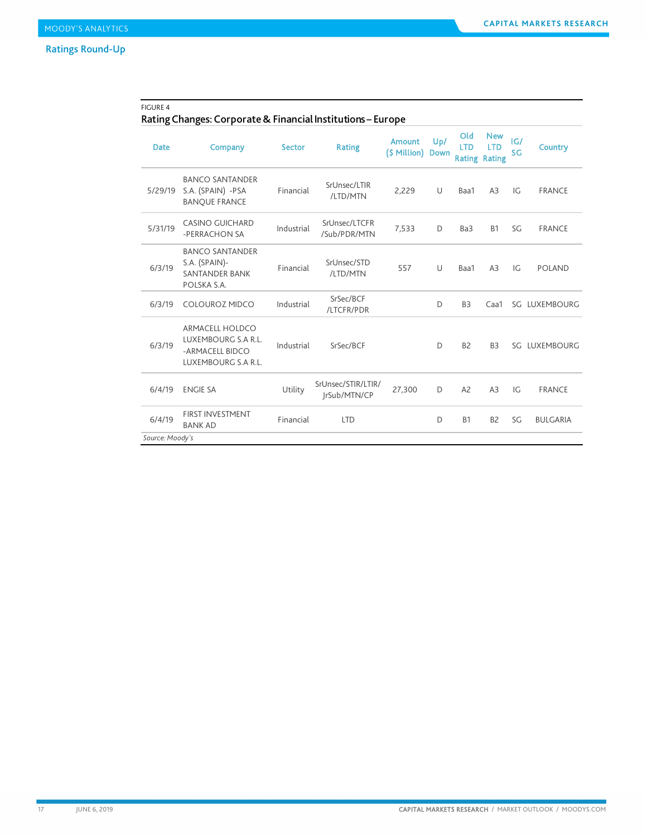## FIGURE 4

# Rating Changes: Corporate & Financial Institutions – Europe

| <b>Date</b>     | Company                                                                                 | <b>Sector</b> | <b>Rating</b>                      | Amount<br>(\$ Million) Down | Up/    | Old<br><b>LTD</b><br><b>Rating Rating</b> | <b>New</b><br><b>LTD</b> | IG/<br>SG | <b>Country</b>  |
|-----------------|-----------------------------------------------------------------------------------------|---------------|------------------------------------|-----------------------------|--------|-------------------------------------------|--------------------------|-----------|-----------------|
| 5/29/19         | <b>BANCO SANTANDER</b><br>S.A. (SPAIN) -PSA<br><b>BANOUE FRANCE</b>                     | Financial     | SrUnsec/LTIR<br>/LTD/MTN           | 2,229                       | U      | Baa1                                      | A3                       | IG        | <b>FRANCE</b>   |
| 5/31/19         | <b>CASINO GUICHARD</b><br>-PERRACHON SA                                                 | Industrial    | SrUnsec/LTCFR<br>/Sub/PDR/MTN      | 7,533                       | D      | Ba3                                       | <b>B1</b>                | SG        | <b>FRANCE</b>   |
| 6/3/19          | <b>BANCO SANTANDER</b><br>S.A. (SPAIN)-<br><b>SANTANDER BANK</b><br>POLSKA S.A.         | Financial     | SrUnsec/STD<br>/LTD/MTN            | 557                         | $\cup$ | Baa1                                      | A <sub>3</sub>           | IG        | <b>POLAND</b>   |
| 6/3/19          | <b>COLOUROZ MIDCO</b>                                                                   | Industrial    | SrSec/BCF<br>/LTCFR/PDR            |                             | D      | B <sub>3</sub>                            | Caa1                     |           | SG LUXEMBOURG   |
| 6/3/19          | <b>ARMACELL HOLDCO</b><br>LUXEMBOURG S.A.R.L.<br>-ARMACELL BIDCO<br>LUXEMBOURG S.A.R.L. | Industrial    | SrSec/BCF                          |                             | D      | B <sub>2</sub>                            | B <sub>3</sub>           |           | SG LUXEMBOURG   |
| 6/4/19          | <b>ENGIE SA</b>                                                                         | Utility       | SrUnsec/STIR/LTIR/<br>IrSub/MTN/CP | 27,300                      | D      | A <sub>2</sub>                            | A3                       | IG        | <b>FRANCE</b>   |
| 6/4/19          | <b>FIRST INVESTMENT</b><br><b>BANK AD</b>                                               | Financial     | <b>LTD</b>                         |                             | D      | <b>B1</b>                                 | B <sub>2</sub>           | SG        | <b>BULGARIA</b> |
| Source: Moody's |                                                                                         |               |                                    |                             |        |                                           |                          |           |                 |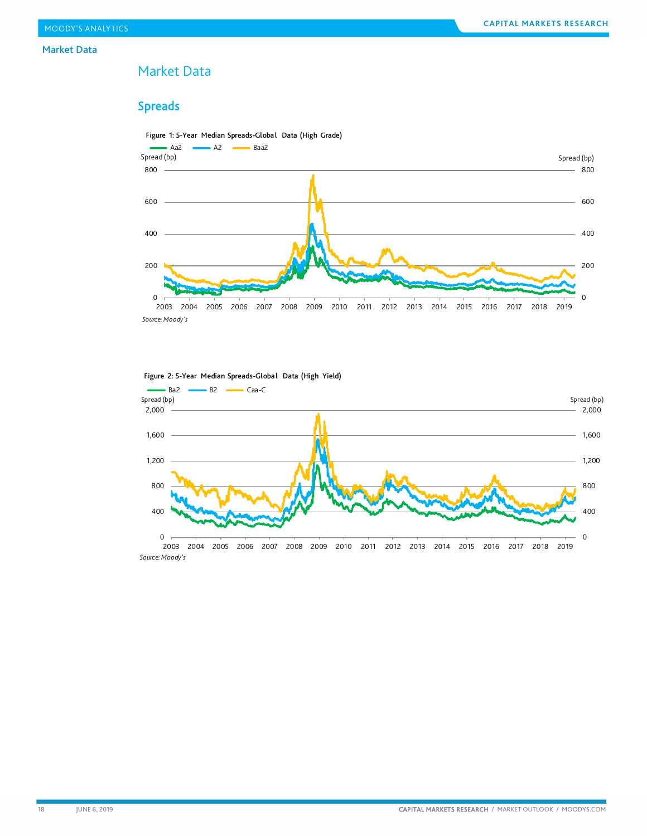#### Market Data

# <span id="page-17-0"></span>Market Data

# Spreads



0 400 800  $-1,200$  $-1,600$  $-2,000$ 0 400 800 1,200 1,600 2,000 2003 2004 2005 2006 2007 2008 2009 2010 2011 2012 2013 2014 2015 2016 2017 2018 2019 Spread (bp) Spread (bp) Ba2 B2 Caa-C<br>Spread (bp) *Source: Moody's*

#### Figure 2: 5-Year Median Spreads-Global Data (High Yield)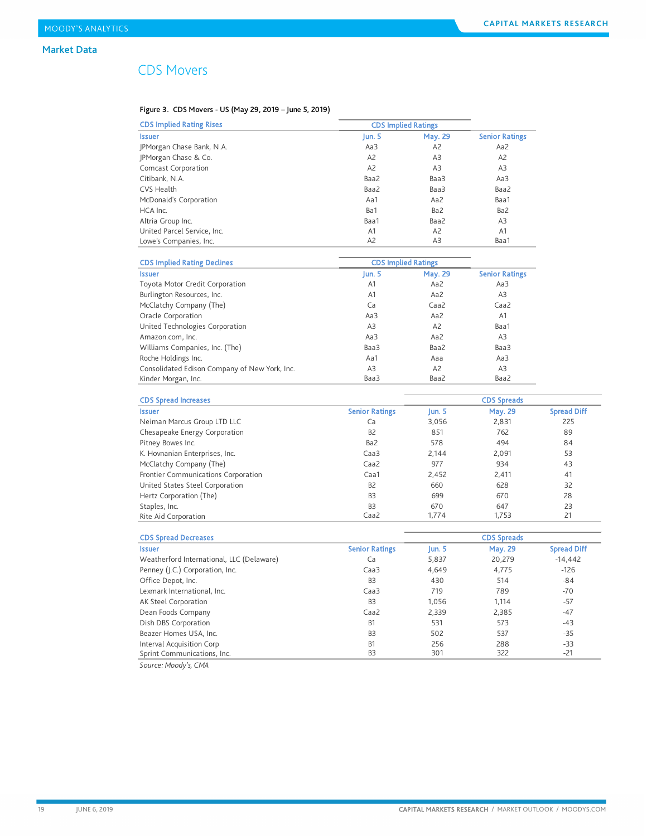# CDS Movers

*Source: Moody's, CMA*

#### Figure 3. CDS Movers - US (May 29, 2019 – June 5, 2019)

| <b>CDS Implied Rating Rises</b>               | <b>CDS Implied Ratings</b> |                 |                       |                    |
|-----------------------------------------------|----------------------------|-----------------|-----------------------|--------------------|
| <b>Issuer</b>                                 | Jun. $5$                   | <b>May. 29</b>  | <b>Senior Ratings</b> |                    |
| JPMorgan Chase Bank, N.A.                     | Aa3                        | A2              | Aa2                   |                    |
| JPMorgan Chase & Co.                          | A <sub>2</sub>             | A3              | A2                    |                    |
| <b>Comcast Corporation</b>                    | A2                         | A3              | A <sub>3</sub>        |                    |
| Citibank, N.A.                                | Baa2                       | Baa3            | Aa3                   |                    |
| <b>CVS Health</b>                             | Baa2                       | Baa3            | Baa2                  |                    |
| McDonald's Corporation                        | Aa1                        | Aa2             | Baa1                  |                    |
| HCA Inc.                                      | Ba1                        | Ba <sub>2</sub> | Ba <sub>2</sub>       |                    |
| Altria Group Inc.                             | Baa1                       | Baa2            | A <sub>3</sub>        |                    |
| United Parcel Service, Inc.                   | A1                         | A <sub>2</sub>  | A1                    |                    |
| Lowe's Companies, Inc.                        | A2                         | A <sub>3</sub>  | Baa1                  |                    |
|                                               |                            |                 |                       |                    |
| <b>CDS Implied Rating Declines</b>            | <b>CDS Implied Ratings</b> |                 |                       |                    |
| <b>Issuer</b>                                 | $\mu$ n. 5                 | <b>May. 29</b>  | <b>Senior Ratings</b> |                    |
| Toyota Motor Credit Corporation               | A1                         | Aa2             | Aa3                   |                    |
| Burlington Resources, Inc.                    | A1                         | Aa2             | A3                    |                    |
| McClatchy Company (The)                       | Ca                         | Caa2            | Caa2                  |                    |
| Oracle Corporation                            | Aa3                        | Aa2             | A1                    |                    |
| United Technologies Corporation               | A3                         | A <sub>2</sub>  | Baa1                  |                    |
| Amazon.com, Inc.                              | Aa3                        | Aa2             | A3                    |                    |
| Williams Companies, Inc. (The)                | Baa3                       | Baa2            | Baa3                  |                    |
| Roche Holdings Inc.                           | Aa1                        | Aaa             | Aa3                   |                    |
| Consolidated Edison Company of New York, Inc. | A3                         | A2              | A3                    |                    |
| Kinder Morgan, Inc.                           | Baa3                       | Baa2            | Baa2                  |                    |
| <b>CDS Spread Increases</b>                   |                            |                 | <b>CDS Spreads</b>    |                    |
| <b>Issuer</b>                                 | <b>Senior Ratings</b>      | Jun. 5          | May. 29               | <b>Spread Diff</b> |
| Neiman Marcus Group LTD LLC                   | Ca                         | 3,056           | 2,831                 | 225                |
| Chesapeake Energy Corporation                 | B <sub>2</sub>             | 851             | 762                   | 89                 |
| Pitney Bowes Inc.                             | Ba2                        | 578             | 494                   | 84                 |
| K. Hovnanian Enterprises, Inc.                | Caa <sub>3</sub>           | 2,144           | 2,091                 | 53                 |
| McClatchy Company (The)                       | Caa2                       | 977             | 934                   | 43                 |
| Frontier Communications Corporation           | Caa1                       | 2,452           | 2,411                 | 41                 |
| United States Steel Corporation               | B <sub>2</sub>             | 660             | 628                   | 32                 |
| Hertz Corporation (The)                       | B <sub>3</sub>             | 699             | 670                   | 28                 |
| Staples, Inc.                                 | B <sub>3</sub>             | 670             | 647                   | 23                 |
| Rite Aid Corporation                          | Caa2                       | 1,774           | 1,753                 | 21                 |
|                                               |                            |                 |                       |                    |
| <b>CDS Spread Decreases</b>                   |                            |                 | <b>CDS Spreads</b>    |                    |
| <b>Issuer</b>                                 | <b>Senior Ratings</b>      | Jun. 5          | <b>May. 29</b>        | <b>Spread Diff</b> |
| Weatherford International, LLC (Delaware)     | Ca                         | 5,837           | 20,279                | $-14,442$          |
| Penney (J.C.) Corporation, Inc.               | Caa3                       | 4,649           | 4,775                 | $-126$             |
| Office Depot, Inc.                            | B <sub>3</sub>             | 430             | 514                   | $-84$              |
| Lexmark International, Inc.                   | Caa3                       | 719             | 789                   | $-70$              |
| AK Steel Corporation                          | B <sub>3</sub>             | 1,056           | 1,114                 | $-57$              |
| Dean Foods Company                            | Caa2                       | 2,339           | 2,385                 | -47                |
| Dish DBS Corporation                          | B1                         | 531             | 573                   | -43                |
| Beazer Homes USA, Inc.                        | B <sub>3</sub>             | 502             | 537                   | $-35$              |
| Interval Acquisition Corp                     | <b>B1</b>                  | 256             | 288                   | $-33$              |

Sprint Communications, Inc. B3 301 322 -21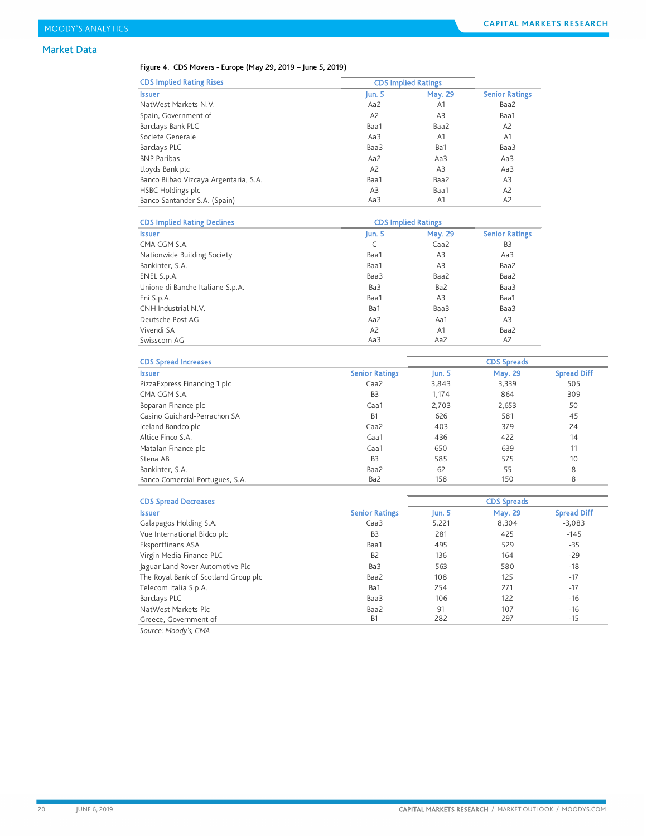### Market Data

#### Figure 4. CDS Movers - Europe (May 29, 2019 – June 5, 2019)

| <b>CDS Implied Rating Rises</b>       |                | <b>CDS Implied Ratings</b> |                       |  |
|---------------------------------------|----------------|----------------------------|-----------------------|--|
| <b>Issuer</b>                         | un.5           | <b>May. 29</b>             | <b>Senior Ratings</b> |  |
| NatWest Markets N.V.                  | Aa2            | A1                         | Baa2                  |  |
| Spain, Government of                  | A <sub>2</sub> | A3                         | Baa1                  |  |
| Barclays Bank PLC                     | Baa1           | Baa2                       | A2                    |  |
| Societe Generale                      | Aa3            | A <sub>1</sub>             | A1                    |  |
| Barclays PLC                          | Baa3           | Ba1                        | Baa3                  |  |
| <b>BNP Paribas</b>                    | Aa2            | Aa3                        | Aa3                   |  |
| Lloyds Bank plc                       | A <sub>2</sub> | A3                         | Aa3                   |  |
| Banco Bilbao Vizcaya Argentaria, S.A. | Baa1           | Baa2                       | A <sub>3</sub>        |  |
| <b>HSBC Holdings plc</b>              | A <sub>3</sub> | Baa1                       | A <sub>2</sub>        |  |
| Banco Santander S.A. (Spain)          | Aa3            | A1                         | A <sub>2</sub>        |  |

| <b>CDS Implied Rating Declines</b> | <b>CDS Implied Ratings</b> |                |                       |
|------------------------------------|----------------------------|----------------|-----------------------|
| <b>Issuer</b>                      | Jun. $5$                   | May. 29        | <b>Senior Ratings</b> |
| CMA CGM S.A.                       | C                          | Caa2           | B <sub>3</sub>        |
| Nationwide Building Society        | Baa1                       | A <sub>3</sub> | Aa3                   |
| Bankinter, S.A.                    | Baa1                       | A3             | Baa2                  |
| ENEL S.p.A.                        | Baa3                       | Baa2           | Baa2                  |
| Unione di Banche Italiane S.p.A.   | Ba3                        | Ba2            | Baa3                  |
| Eni S.p.A.                         | Baa1                       | A <sub>3</sub> | Baa1                  |
| CNH Industrial N.V.                | Ba1                        | Baa3           | Baa3                  |
| Deutsche Post AG                   | Aa2                        | Aa1            | A3                    |
| Vivendi SA                         | A <sub>2</sub>             | A1             | Baa2                  |
| Swisscom AG                        | Aa3                        | Aa2            | A2                    |

| <b>CDS Spread Increases</b>     |                       | <b>CDS Spreads</b> |                |                    |
|---------------------------------|-----------------------|--------------------|----------------|--------------------|
| <b>Issuer</b>                   | <b>Senior Ratings</b> | $\lfloor$ un. 5    | <b>May. 29</b> | <b>Spread Diff</b> |
| Pizza Express Financing 1 plc   | Caa <sub>2</sub>      | 3,843              | 3,339          | 505                |
| CMA CGM S.A.                    | B <sub>3</sub>        | 1,174              | 864            | 309                |
| Boparan Finance plc             | Caa1                  | 2.703              | 2,653          | 50                 |
| Casino Guichard-Perrachon SA    | B <sub>1</sub>        | 626                | 581            | 45                 |
| Iceland Bondco plc              | Caa <sub>2</sub>      | 403                | 379            | 24                 |
| Altice Finco S.A.               | Caa1                  | 436                | 422            | 14                 |
| Matalan Finance plc             | Caa1                  | 650                | 639            | 11                 |
| Stena AB                        | B <sub>3</sub>        | 585                | 575            | 10                 |
| Bankinter, S.A.                 | Baa2                  | 62                 | 55             | 8                  |
| Banco Comercial Portugues, S.A. | Ba2                   | 158                | 150            | 8                  |

| <b>CDS Spread Decreases</b>          |                       |                  | <b>CDS Spreads</b> |                    |
|--------------------------------------|-----------------------|------------------|--------------------|--------------------|
| <b>Issuer</b>                        | <b>Senior Ratings</b> | $\mathsf{Iun.}5$ | <b>May. 29</b>     | <b>Spread Diff</b> |
| Galapagos Holding S.A.               | Caa <sub>3</sub>      | 5,221            | 8,304              | $-3.083$           |
| Vue International Bidco plc          | B <sub>3</sub>        | 281              | 425                | $-145$             |
| Eksportfinans ASA                    | Baa1                  | 495              | 529                | $-35$              |
| Virgin Media Finance PLC             | B <sub>2</sub>        | 136              | 164                | $-29$              |
| Jaguar Land Rover Automotive Plc     | Ba3                   | 563              | 580                | $-18$              |
| The Royal Bank of Scotland Group plc | Baa2                  | 108              | 125                | $-17$              |
| Telecom Italia S.p.A.                | Ba1                   | 254              | 271                | $-17$              |
| Barclays PLC                         | Baa3                  | 106              | 122                | $-16$              |
| NatWest Markets Plc                  | Baa2                  | 91               | 107                | $-16$              |
| Greece, Government of                | <b>B1</b>             | 282              | 297                | $-15$              |

*Source: Moody's, CMA*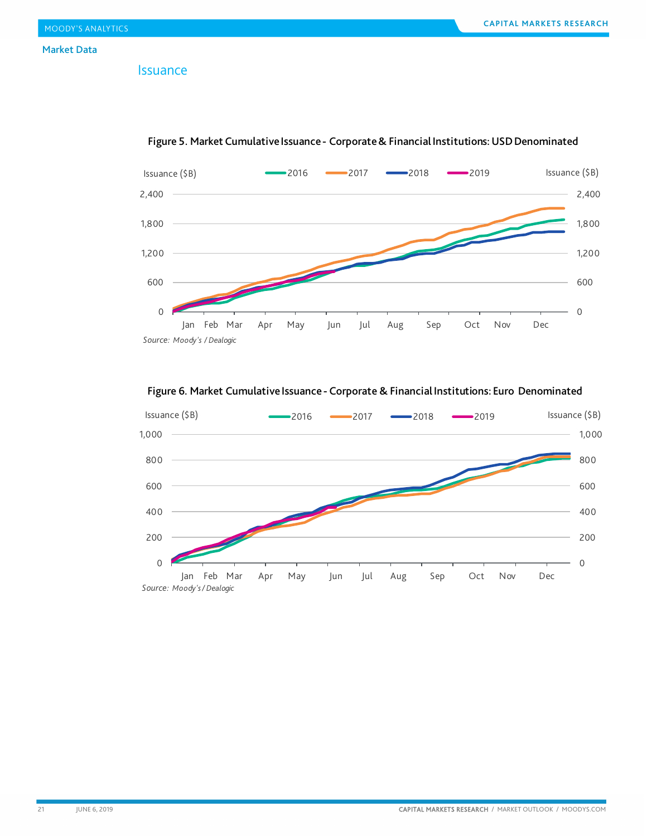## Issuance



Figure 5. Market Cumulative Issuance - Corporate & Financial Institutions: USD Denominated

Figure 6. Market Cumulative Issuance - Corporate & Financial Institutions: Euro Denominated

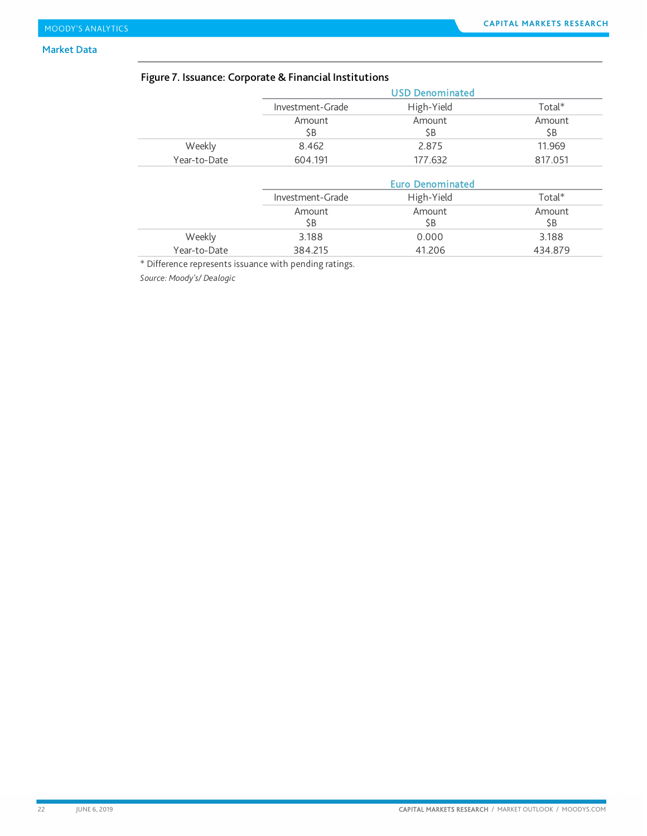### Market Data

# Figure 7. Issuance: Corporate & Financial Institutions

|              |                  | <b>USD Denominated</b>  |               |
|--------------|------------------|-------------------------|---------------|
|              | Investment-Grade | High-Yield              | $Total*$      |
|              | Amount<br>\$B    | Amount<br>\$Β           | Amount<br>\$B |
| Weekly       | 8.462            | 2.875                   | 11.969        |
| Year-to-Date | 604.191          | 177.632                 | 817.051       |
|              |                  | <b>Euro Denominated</b> |               |
|              | Investment-Grade | High-Yield              | Total*        |

|              | 1117011101111 | <b>ILIELE LICIU</b> | i vtat  |
|--------------|---------------|---------------------|---------|
|              | Amount        | Amount              | Amount  |
|              | SΒ            | ŚΒ                  | \$B     |
| Weekly       | 3.188         | 0.000               | 3.188   |
| Year-to-Date | 384.215       | 41.206              | 434.879 |

\* Difference represents issuance with pending ratings.

*Source: Moody's/ Dealogic*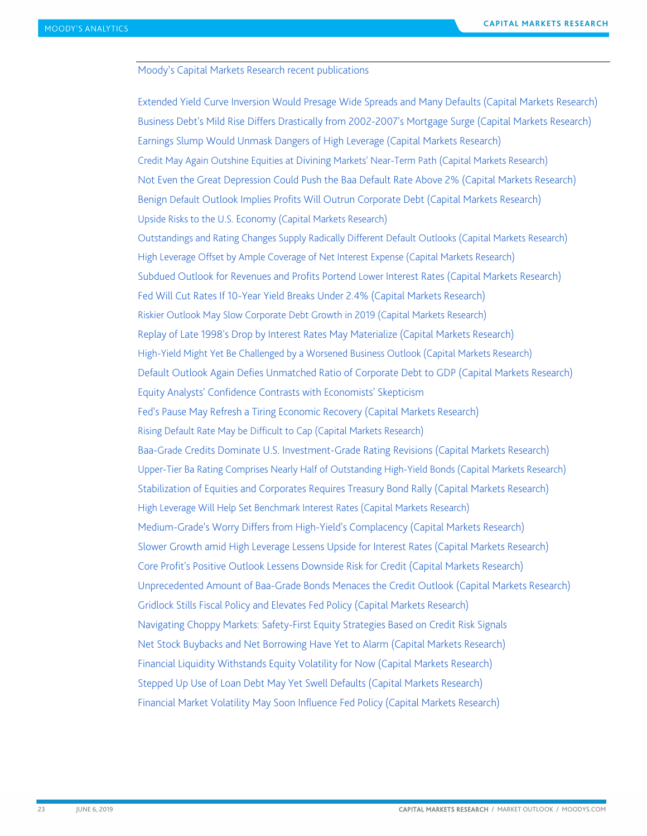#### <span id="page-22-0"></span>Moody's Capital Markets Research recent publications

[Extended Yield Curve Inversion Would Presage Wide Spreads and Many Defaults \(Capital Markets Research\)](https://www.moodys.com/researchdocumentcontentpage.aspx?docid=PBC_1178534) [Business Debt's Mild Rise Differs Drastically from 2002-2007's Mortgage Surge \(Capital Markets Research\)](https://www.moodys.com/researchdocumentcontentpage.aspx?docid=PBC_1177595) [Earnings Slump Would Unmask Dangers of High Leverage \(Capital Markets Research\)](https://www.moodys.com/researchdocumentcontentpage.aspx?docid=PBC_1176391) Credit May Again Outshine Equities at Divining [Markets' Near-Term Path \(Capital Markets Research\)](https://www.moodys.com/researchdocumentcontentpage.aspx?docid=PBC_1175285) [Not Even the Great Depression Could Push the Baa Default Rate Above 2% \(Capital Markets Research\)](https://www.moodys.com/researchdocumentcontentpage.aspx?docid=PBC_1173923) Benign Default [Outlook Implies Profits Will Outrun Corporate Debt \(Capital Markets Research\)](https://www.moodys.com/researchdocumentcontentpage.aspx?docid=PBC_1172818) [Upside Risks to the U.S. Economy](https://www.moodys.com/researchdocumentcontentpage.aspx?docid=PBC_1171919) (Capital Markets Research) [Outstandings and Rating Changes Supply Radically Different Default Outlooks \(Capital Markets Research\)](https://www.moodys.com/researchdocumentcontentpage.aspx?docid=PBC_1170901) [High Leverage Offset by Ample Coverage of Net Interest Expense \(Capital Markets Research\)](https://www.moodys.com/researchdocumentcontentpage.aspx?docid=PBC_1169577) [Subdued Outlook for Revenues and Profits Portend Lower](https://www.moodys.com/researchdocumentcontentpage.aspx?docid=PBC_1168152) Interest Rates (Capital Markets Research) [Fed Will Cut Rates If 10-Year Yield Breaks Under 2.4% \(Capital Markets Research\)](https://www.moodys.com/researchdocumentcontentpage.aspx?docid=PBC_1166916) [Riskier Outlook May Slow Corporate Debt Growth in 2019 \(Capital Markets Research\)](https://www.moodys.com/researchdocumentcontentpage.aspx?docid=PBC_1165739) [Replay of Late 1998's Drop by Interest Rates May Materialize \(Capital Markets Research\)](https://www.moodys.com/researchdocumentcontentpage.aspx?docid=PBC_1165037) [High-Yield Might Yet Be Challenged by a Worsened Business Outlook \(Capital Markets Research\)](https://www.moodys.com/researchdocumentcontentpage.aspx?docid=PBC_1163050) [Default Outlook Again Defies Unmatched Ratio of Corporate Debt to GDP \(Capital Markets Research\)](https://www.moodys.com/researchdocumentcontentpage.aspx?docid=PBC_1162191) [Equity Analysts' Confidence Contrasts with Economists' Skepticism](https://www.moodys.com/researchdocumentcontentpage.aspx?docid=PBC_1161112)  [Fed's Pause May Refresh a Tiring Economic Recovery \(Capital Markets Research\)](https://www.moodys.com/researchdocumentcontentpage.aspx?docid=PBC_1159895) [Rising Default Rate May be Difficult to Cap \(Capital Markets Research\)](https://www.moodys.com/researchdocumentcontentpage.aspx?docid=PBC_1159093) Baa-Grade [Credits Dominate U.S. Investment-Grade Rating Revisions \(Capital Markets Research\)](https://www.moodys.com/researchdocumentcontentpage.aspx?docid=PBC_1158342) [Upper-Tier Ba Rating Comprises Nearly Half of Outstanding High-Yield Bonds \(Capital Markets Research\)](https://www.moodys.com/researchdocumentcontentpage.aspx?docid=PBC_1157448) [Stabilization of Equities and Corporates Requires Treasury Bond Rally \(Capital Markets Research\)](https://www.moodys.com/researchdocumentcontentpage.aspx?docid=PBC_1156465) [High Leverage Will Help Set Benchmark Interest Rates \(Capital Markets Research\)](https://www.moodys.com/researchdocumentcontentpage.aspx?docid=PBC_1155649) [Medium-Grade's Worry Differs from High-Yield's Complacency \(Capital Markets Research\)](https://www.moodys.com/researchdocumentcontentpage.aspx?docid=PBC_1154502) [Slower Growth amid High Leverage Lessens Upside for Interest Rates \(Capital Markets Research\)](https://www.moodys.com/researchdocumentcontentpage.aspx?docid=PBC_1153393) [Core Profit's Positive Outlook Lessens Downside Risk for Credit \(Capital Markets Research\)](https://www.moodys.com/researchdocumentcontentpage.aspx?docid=PBC_1152168) [Unprecedented Amount of Baa-Grade Bonds Menaces the Credit Outlook \(Capital Markets Research\)](https://www.moodys.com/researchdocumentcontentpage.aspx?docid=PBC_1150349) [Gridlock Stills Fiscal Policy and Elevates Fed Policy \(Capital Markets Research\)](https://www.moodys.com/researchdocumentcontentpage.aspx?docid=PBC_1149219) [Navigating Choppy Markets: Safety-First Equity Strategies Based on Credit Risk Signals](https://www.moodys.com/researchdocumentcontentpage.aspx?docid=PBC_1149370) [Net Stock Buybacks and Net Borrowing Have Yet to Alarm \(Capital Markets Research\)](https://www.moodys.com/researchdocumentcontentpage.aspx?docid=PBC_1148044) [Financial Liquidity Withstands Equity Volatility for Now \(Capital Markets Research\)](https://www.moodys.com/researchdocumentcontentpage.aspx?docid=PBC_1147224) [Stepped Up Use of Loan Debt May Yet Swell Defaults \(Capital Markets Research\)](https://www.moodys.com/researchdocumentcontentpage.aspx?docid=PBC_1146382) [Financial Market Volatility May Soon Influence Fed Policy \(Capital Markets Research\)](https://www.moodys.com/researchdocumentcontentpage.aspx?docid=PBC_1145554)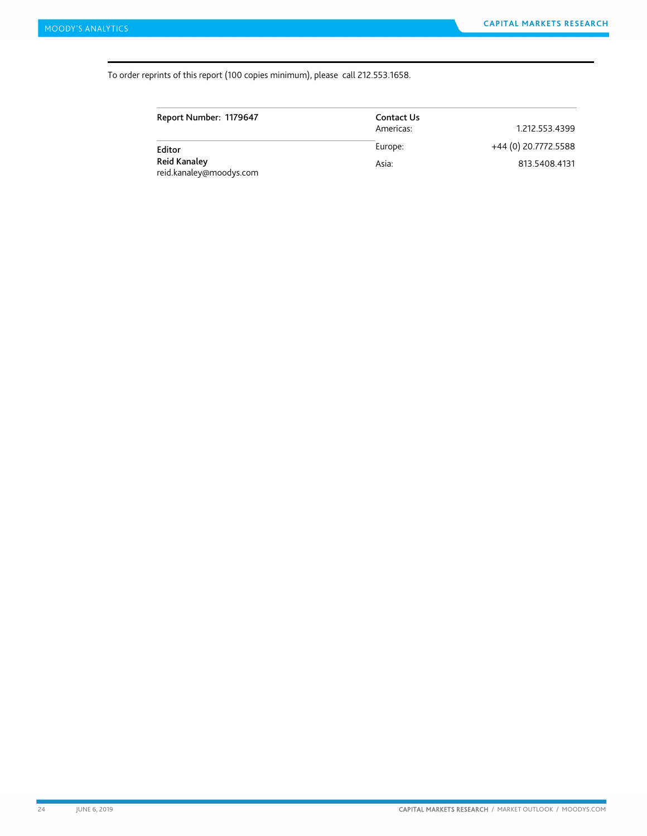#### To order reprints of this report (100 copies minimum), please call 212.553.1658.

| Report Number: 1179647                  | Contact Us |                      |
|-----------------------------------------|------------|----------------------|
|                                         | Americas:  | 1.212.553.4399       |
| Editor                                  | Europe:    | +44 (0) 20.7772.5588 |
| Reid Kanaley<br>reid.kanaley@moodys.com | Asia:      | 813.5408.4131        |